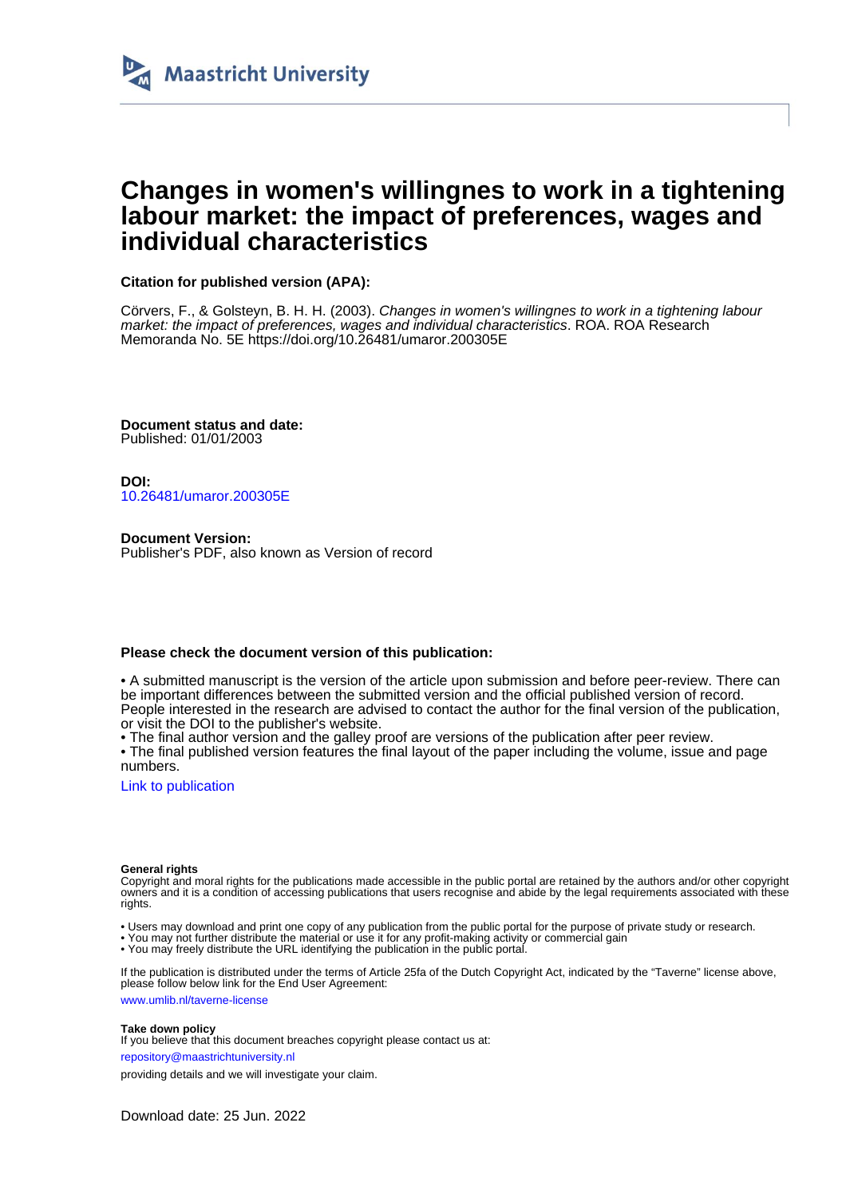

# **Changes in women's willingnes to work in a tightening labour market: the impact of preferences, wages and individual characteristics**

**Citation for published version (APA):**

Cörvers, F., & Golsteyn, B. H. H. (2003). Changes in women's willingnes to work in a tightening labour market: the impact of preferences, wages and individual characteristics. ROA. ROA Research Memoranda No. 5E<https://doi.org/10.26481/umaror.200305E>

**Document status and date:** Published: 01/01/2003

**DOI:** [10.26481/umaror.200305E](https://doi.org/10.26481/umaror.200305E)

**Document Version:** Publisher's PDF, also known as Version of record

#### **Please check the document version of this publication:**

• A submitted manuscript is the version of the article upon submission and before peer-review. There can be important differences between the submitted version and the official published version of record. People interested in the research are advised to contact the author for the final version of the publication, or visit the DOI to the publisher's website.

• The final author version and the galley proof are versions of the publication after peer review.

• The final published version features the final layout of the paper including the volume, issue and page numbers.

[Link to publication](https://cris.maastrichtuniversity.nl/en/publications/7674a49b-b122-4372-8bfc-96cd25189506)

#### **General rights**

Copyright and moral rights for the publications made accessible in the public portal are retained by the authors and/or other copyright owners and it is a condition of accessing publications that users recognise and abide by the legal requirements associated with these rights.

- Users may download and print one copy of any publication from the public portal for the purpose of private study or research.
- You may not further distribute the material or use it for any profit-making activity or commercial gain
- You may freely distribute the URL identifying the publication in the public portal

If the publication is distributed under the terms of Article 25fa of the Dutch Copyright Act, indicated by the "Taverne" license above, please follow below link for the End User Agreement:

www.umlib.nl/taverne-license

#### **Take down policy**

If you believe that this document breaches copyright please contact us at:

repository@maastrichtuniversity.nl

providing details and we will investigate your claim.

Download date: 25 Jun. 2022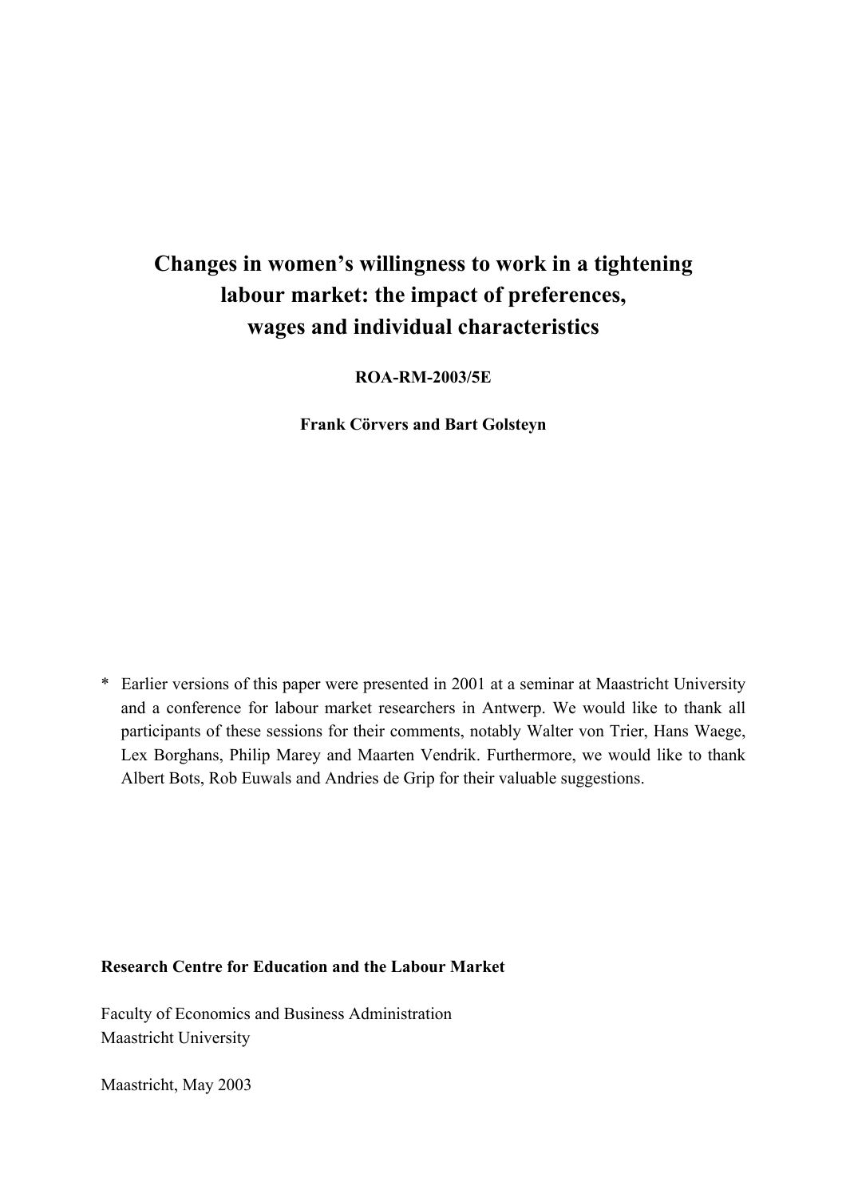# **Changes in women's willingness to work in a tightening labour market: the impact of preferences, wages and individual characteristics**

**ROA-RM-2003/5E** 

**Frank Cörvers and Bart Golsteyn** 

\* Earlier versions of this paper were presented in 2001 at a seminar at Maastricht University and a conference for labour market researchers in Antwerp. We would like to thank all participants of these sessions for their comments, notably Walter von Trier, Hans Waege, Lex Borghans, Philip Marey and Maarten Vendrik. Furthermore, we would like to thank Albert Bots, Rob Euwals and Andries de Grip for their valuable suggestions.

### **Research Centre for Education and the Labour Market**

Faculty of Economics and Business Administration Maastricht University

Maastricht, May 2003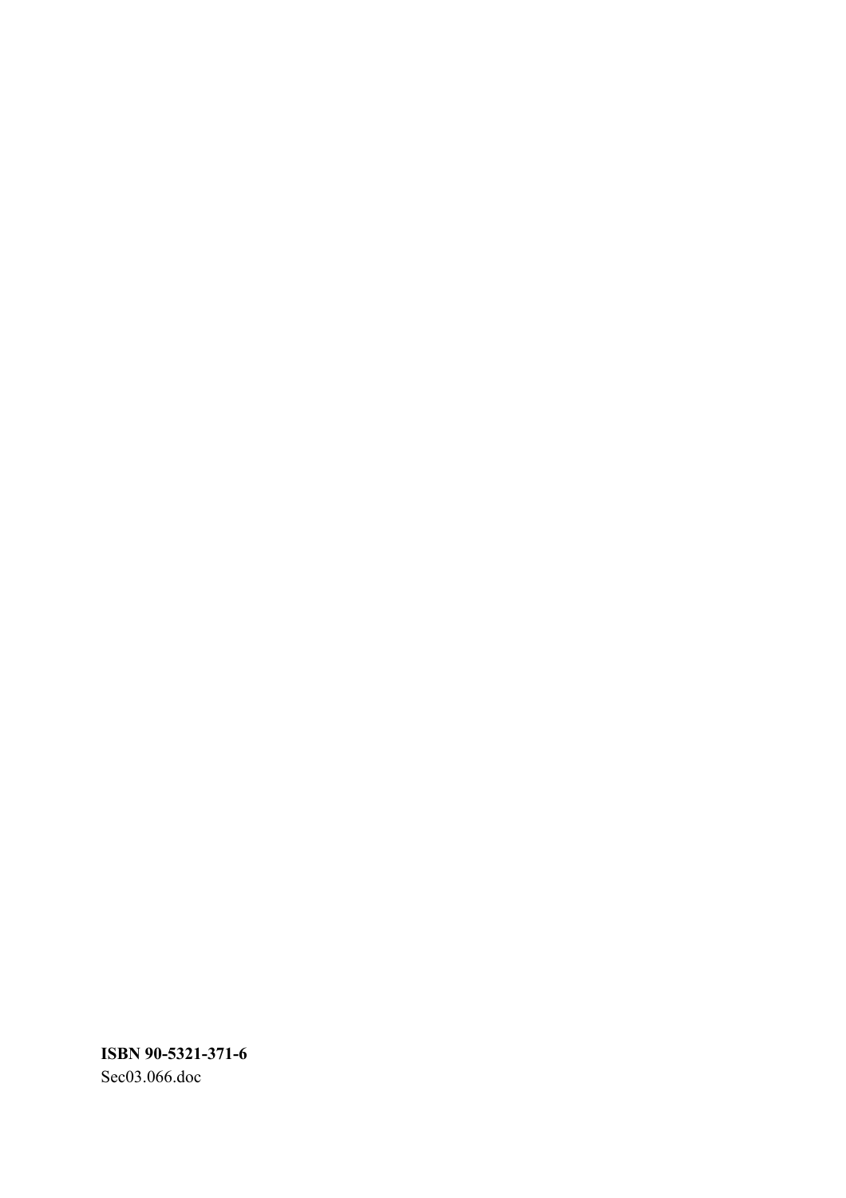**ISBN 90-5321-371-6**  Sec03.066.doc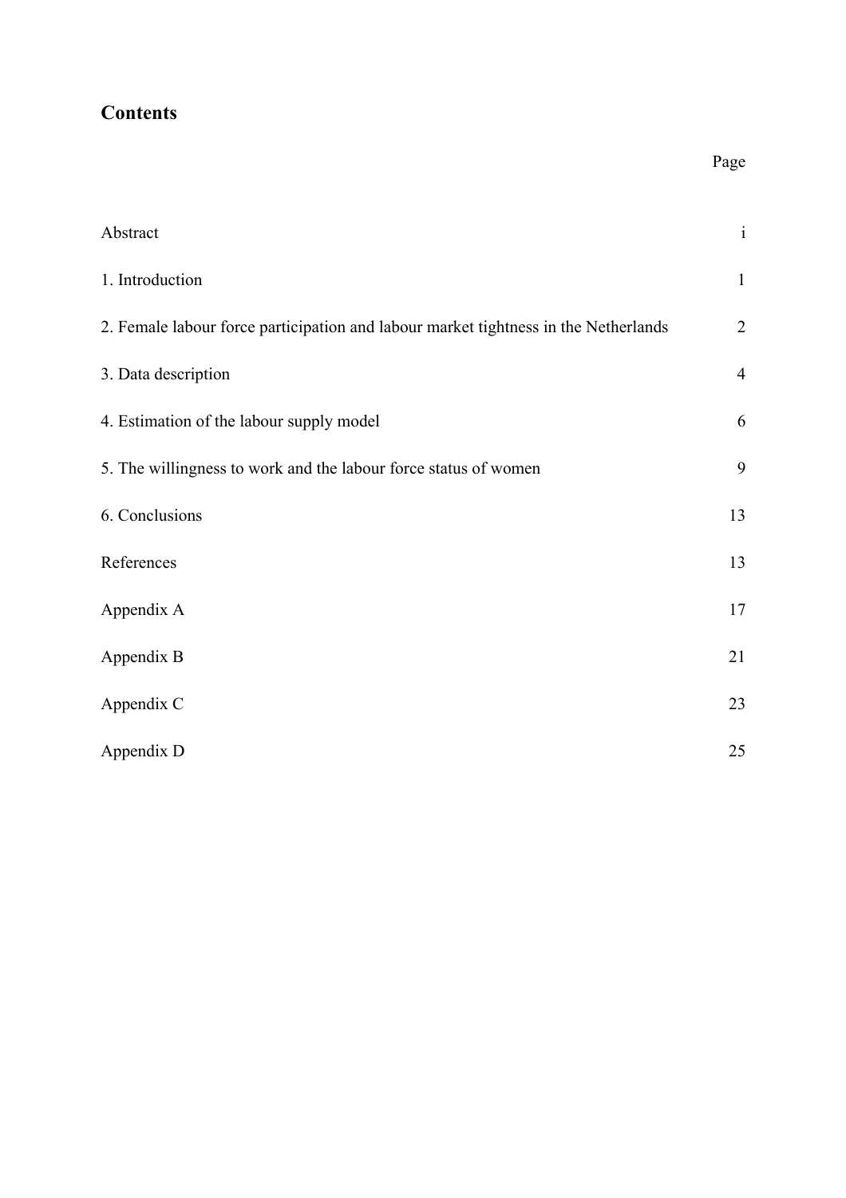# **Contents**

| Abstract                                                                            | $\rm i$        |
|-------------------------------------------------------------------------------------|----------------|
| 1. Introduction                                                                     | $\mathbf{1}$   |
| 2. Female labour force participation and labour market tightness in the Netherlands | $\overline{2}$ |
| 3. Data description                                                                 | $\overline{4}$ |
| 4. Estimation of the labour supply model                                            | 6              |
| 5. The willingness to work and the labour force status of women                     | 9              |
| 6. Conclusions                                                                      | 13             |
| References                                                                          | 13             |
| Appendix A                                                                          | 17             |
| Appendix B                                                                          | 21             |
| Appendix C                                                                          | 23             |
| Appendix D                                                                          | 25             |

Page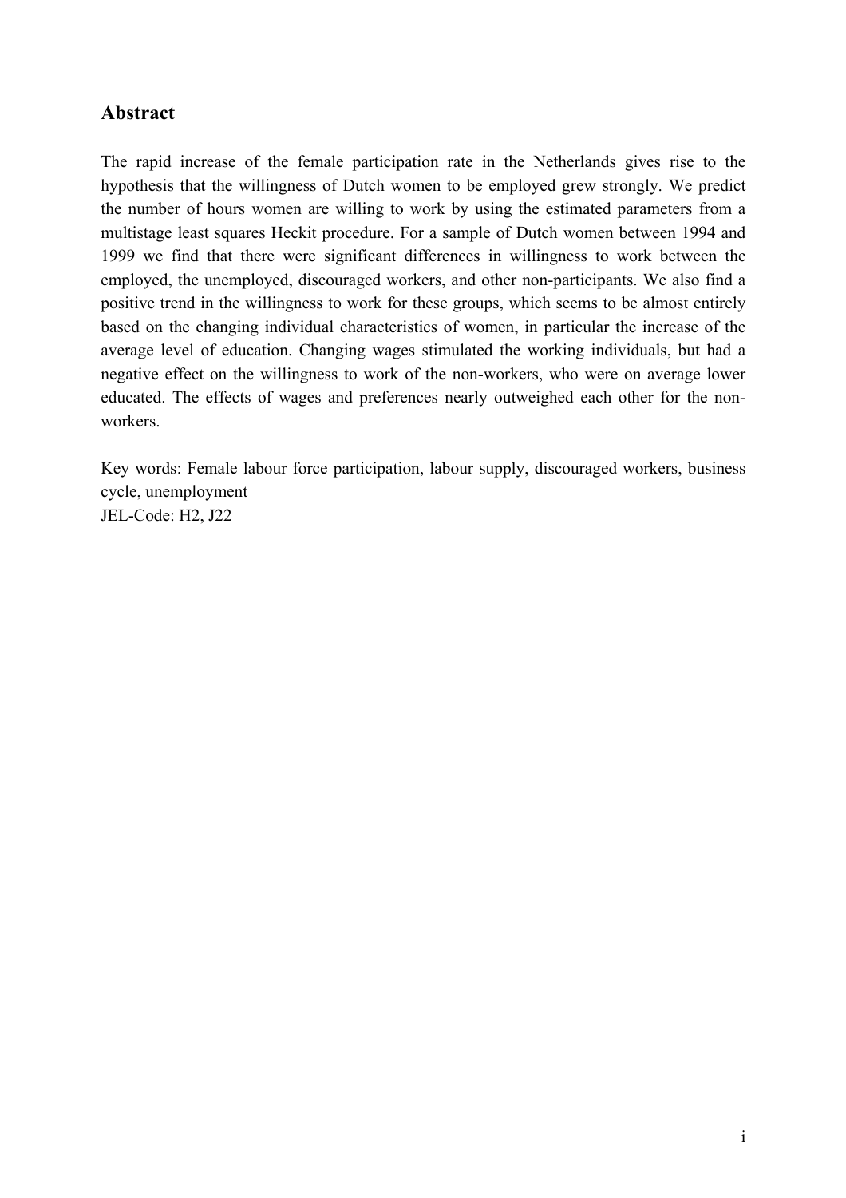## **Abstract**

The rapid increase of the female participation rate in the Netherlands gives rise to the hypothesis that the willingness of Dutch women to be employed grew strongly. We predict the number of hours women are willing to work by using the estimated parameters from a multistage least squares Heckit procedure. For a sample of Dutch women between 1994 and 1999 we find that there were significant differences in willingness to work between the employed, the unemployed, discouraged workers, and other non-participants. We also find a positive trend in the willingness to work for these groups, which seems to be almost entirely based on the changing individual characteristics of women, in particular the increase of the average level of education. Changing wages stimulated the working individuals, but had a negative effect on the willingness to work of the non-workers, who were on average lower educated. The effects of wages and preferences nearly outweighed each other for the nonworkers.

Key words: Female labour force participation, labour supply, discouraged workers, business cycle, unemployment JEL-Code: H2, J22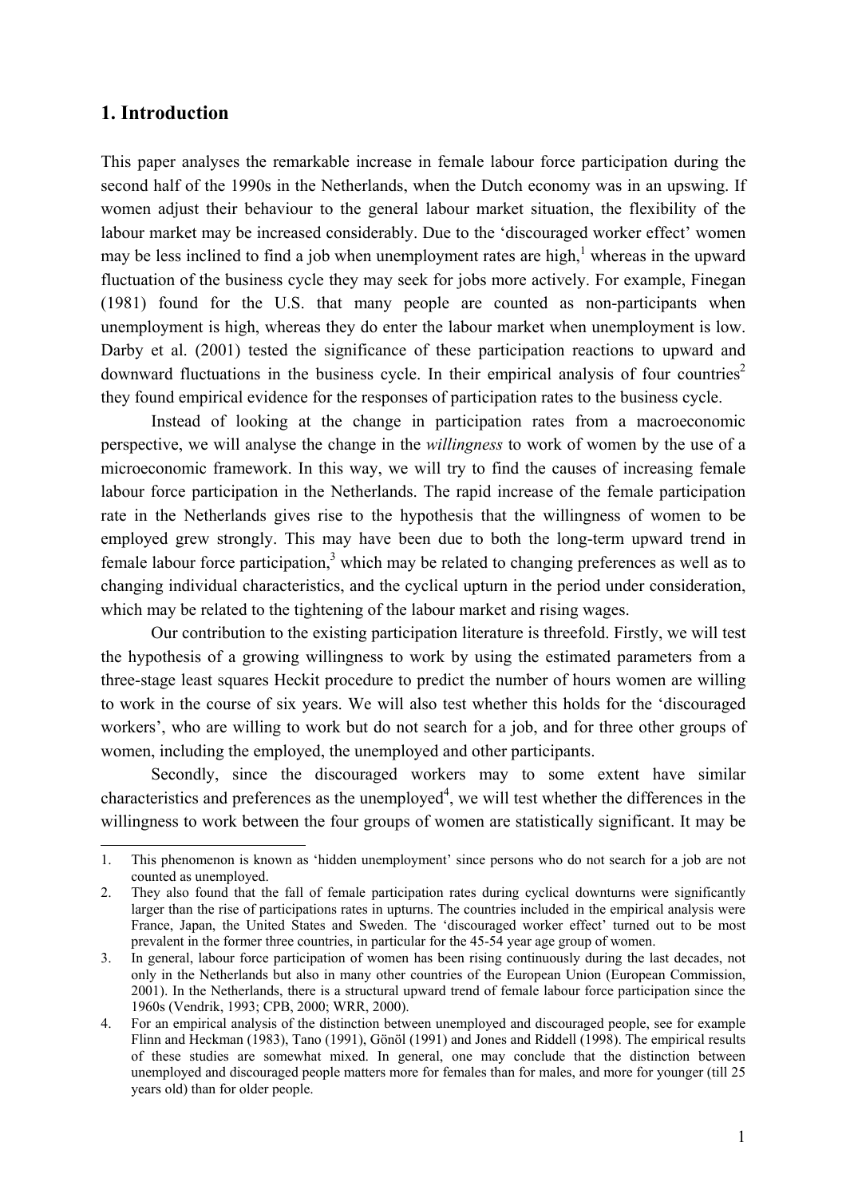## **1. Introduction**

 $\overline{a}$ 

This paper analyses the remarkable increase in female labour force participation during the second half of the 1990s in the Netherlands, when the Dutch economy was in an upswing. If women adjust their behaviour to the general labour market situation, the flexibility of the labour market may be increased considerably. Due to the 'discouraged worker effect' women may be less inclined to find a job when unemployment rates are high,<sup>1</sup> whereas in the upward fluctuation of the business cycle they may seek for jobs more actively. For example, Finegan (1981) found for the U.S. that many people are counted as non-participants when unemployment is high, whereas they do enter the labour market when unemployment is low. Darby et al. (2001) tested the significance of these participation reactions to upward and downward fluctuations in the business cycle. In their empirical analysis of four countries<sup>2</sup> they found empirical evidence for the responses of participation rates to the business cycle.

Instead of looking at the change in participation rates from a macroeconomic perspective, we will analyse the change in the *willingness* to work of women by the use of a microeconomic framework. In this way, we will try to find the causes of increasing female labour force participation in the Netherlands. The rapid increase of the female participation rate in the Netherlands gives rise to the hypothesis that the willingness of women to be employed grew strongly. This may have been due to both the long-term upward trend in female labour force participation,<sup>3</sup> which may be related to changing preferences as well as to changing individual characteristics, and the cyclical upturn in the period under consideration, which may be related to the tightening of the labour market and rising wages.

Our contribution to the existing participation literature is threefold. Firstly, we will test the hypothesis of a growing willingness to work by using the estimated parameters from a three-stage least squares Heckit procedure to predict the number of hours women are willing to work in the course of six years. We will also test whether this holds for the 'discouraged workers', who are willing to work but do not search for a job, and for three other groups of women, including the employed, the unemployed and other participants.

Secondly, since the discouraged workers may to some extent have similar characteristics and preferences as the unemployed<sup>4</sup>, we will test whether the differences in the willingness to work between the four groups of women are statistically significant. It may be

<sup>1.</sup> This phenomenon is known as 'hidden unemployment' since persons who do not search for a job are not counted as unemployed.

<sup>2.</sup> They also found that the fall of female participation rates during cyclical downturns were significantly larger than the rise of participations rates in upturns. The countries included in the empirical analysis were France, Japan, the United States and Sweden. The 'discouraged worker effect' turned out to be most prevalent in the former three countries, in particular for the 45-54 year age group of women.

<sup>3.</sup> In general, labour force participation of women has been rising continuously during the last decades, not only in the Netherlands but also in many other countries of the European Union (European Commission, 2001). In the Netherlands, there is a structural upward trend of female labour force participation since the 1960s (Vendrik, 1993; CPB, 2000; WRR, 2000).

<sup>4.</sup> For an empirical analysis of the distinction between unemployed and discouraged people, see for example Flinn and Heckman (1983), Tano (1991), Gönöl (1991) and Jones and Riddell (1998). The empirical results of these studies are somewhat mixed. In general, one may conclude that the distinction between unemployed and discouraged people matters more for females than for males, and more for younger (till 25 years old) than for older people.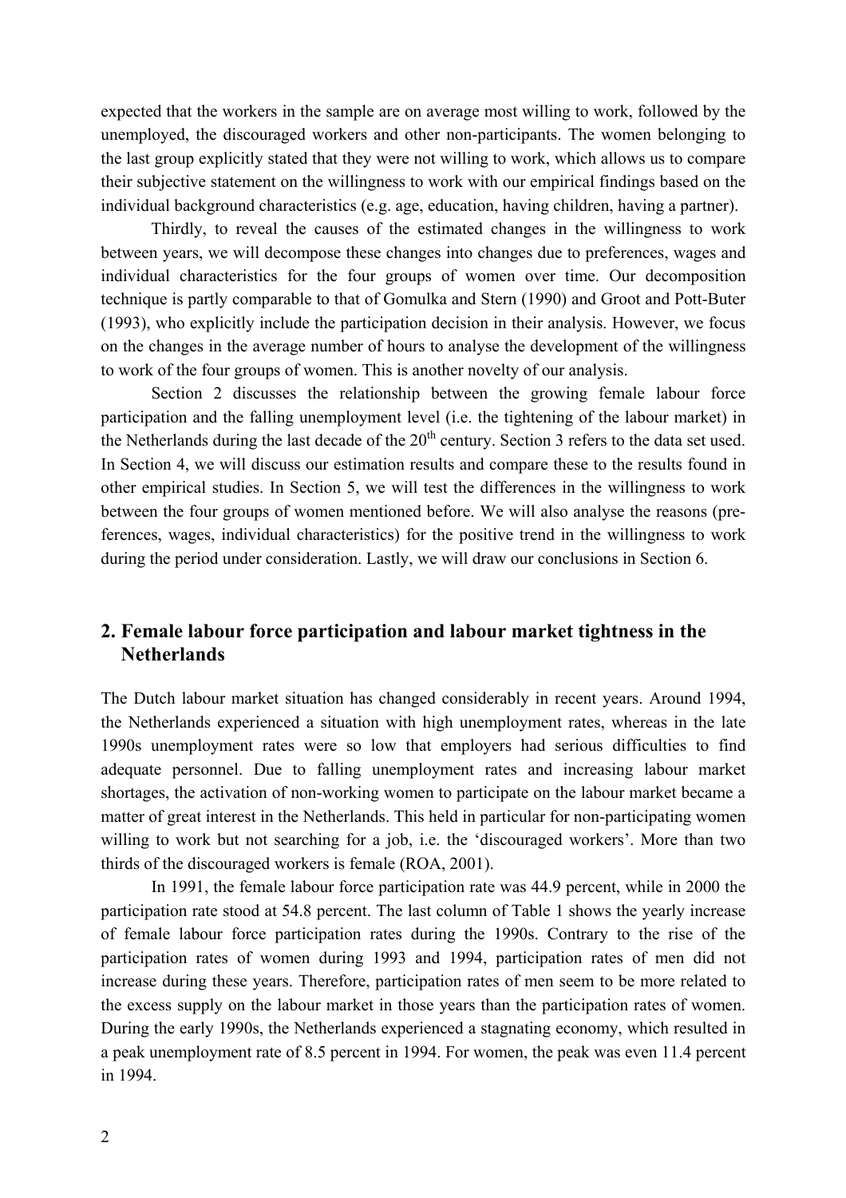expected that the workers in the sample are on average most willing to work, followed by the unemployed, the discouraged workers and other non-participants. The women belonging to the last group explicitly stated that they were not willing to work, which allows us to compare their subjective statement on the willingness to work with our empirical findings based on the individual background characteristics (e.g. age, education, having children, having a partner).

Thirdly, to reveal the causes of the estimated changes in the willingness to work between years, we will decompose these changes into changes due to preferences, wages and individual characteristics for the four groups of women over time. Our decomposition technique is partly comparable to that of Gomulka and Stern (1990) and Groot and Pott-Buter (1993), who explicitly include the participation decision in their analysis. However, we focus on the changes in the average number of hours to analyse the development of the willingness to work of the four groups of women. This is another novelty of our analysis.

 Section 2 discusses the relationship between the growing female labour force participation and the falling unemployment level (i.e. the tightening of the labour market) in the Netherlands during the last decade of the  $20<sup>th</sup>$  century. Section 3 refers to the data set used. In Section 4, we will discuss our estimation results and compare these to the results found in other empirical studies. In Section 5, we will test the differences in the willingness to work between the four groups of women mentioned before. We will also analyse the reasons (preferences, wages, individual characteristics) for the positive trend in the willingness to work during the period under consideration. Lastly, we will draw our conclusions in Section 6.

## **2. Female labour force participation and labour market tightness in the Netherlands**

The Dutch labour market situation has changed considerably in recent years. Around 1994, the Netherlands experienced a situation with high unemployment rates, whereas in the late 1990s unemployment rates were so low that employers had serious difficulties to find adequate personnel. Due to falling unemployment rates and increasing labour market shortages, the activation of non-working women to participate on the labour market became a matter of great interest in the Netherlands. This held in particular for non-participating women willing to work but not searching for a job, i.e. the 'discouraged workers'. More than two thirds of the discouraged workers is female (ROA, 2001).

 In 1991, the female labour force participation rate was 44.9 percent, while in 2000 the participation rate stood at 54.8 percent. The last column of Table 1 shows the yearly increase of female labour force participation rates during the 1990s. Contrary to the rise of the participation rates of women during 1993 and 1994, participation rates of men did not increase during these years. Therefore, participation rates of men seem to be more related to the excess supply on the labour market in those years than the participation rates of women. During the early 1990s, the Netherlands experienced a stagnating economy, which resulted in a peak unemployment rate of 8.5 percent in 1994. For women, the peak was even 11.4 percent in 1994.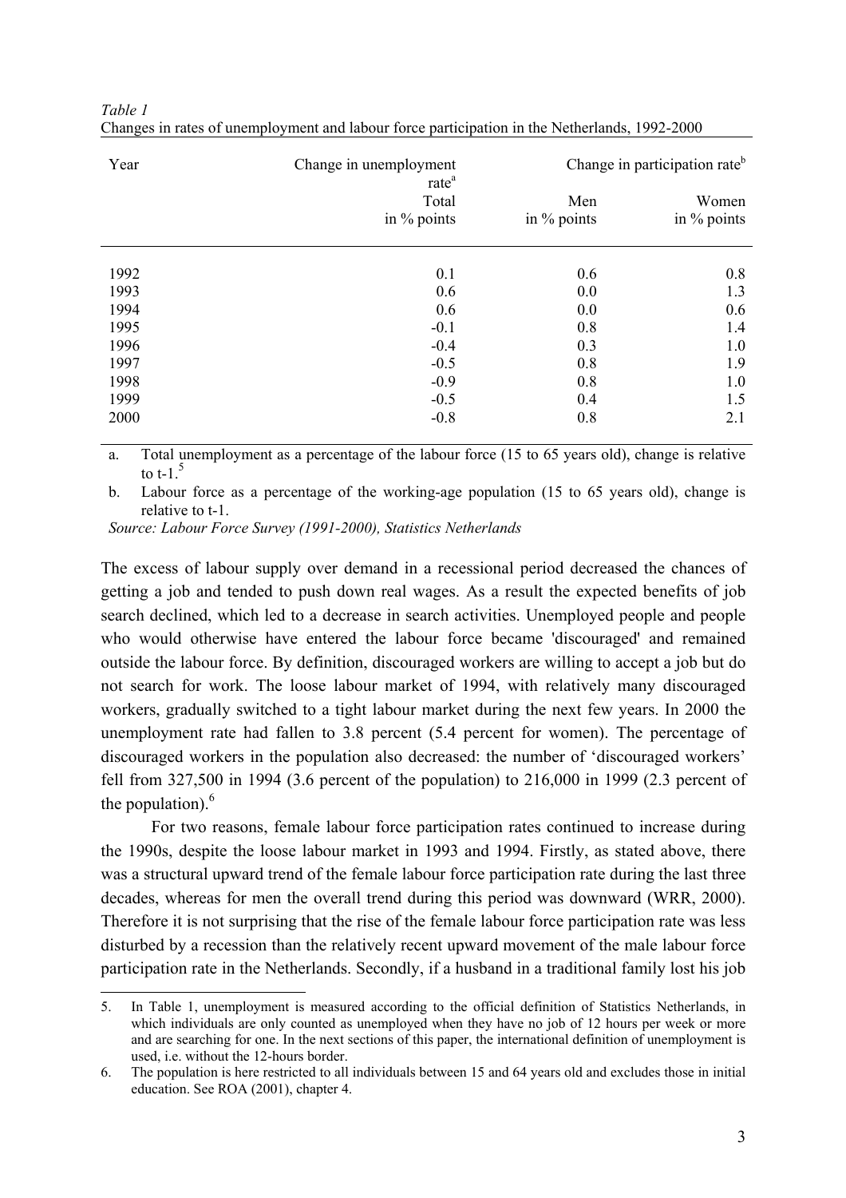| Year | Change in unemployment                    | Change in participation rate <sup>b</sup> |                      |  |
|------|-------------------------------------------|-------------------------------------------|----------------------|--|
|      | rate <sup>a</sup><br>Total<br>in % points | Men<br>in $\%$ points                     | Women<br>in % points |  |
| 1992 | 0.1                                       | 0.6                                       | 0.8                  |  |
| 1993 | 0.6                                       | 0.0                                       | 1.3                  |  |
| 1994 | 0.6                                       | 0.0                                       | 0.6                  |  |
| 1995 | $-0.1$                                    | 0.8                                       | 1.4                  |  |
| 1996 | $-0.4$                                    | 0.3                                       | 1.0                  |  |
| 1997 | $-0.5$                                    | 0.8                                       | 1.9                  |  |
| 1998 | $-0.9$                                    | 0.8                                       | 1.0                  |  |
| 1999 | $-0.5$                                    | 0.4                                       | 1.5                  |  |
| 2000 | $-0.8$                                    | 0.8                                       | 2.1                  |  |

| Table 1                                                                                       |  |
|-----------------------------------------------------------------------------------------------|--|
| Changes in rates of unemployment and labour force participation in the Netherlands, 1992-2000 |  |

a. Total unemployment as a percentage of the labour force (15 to 65 years old), change is relative to t-1. $\overline{5}$ 

b. Labour force as a percentage of the working-age population (15 to 65 years old), change is relative to t-1.

*Source: Labour Force Survey (1991-2000), Statistics Netherlands* 

 $\overline{a}$ 

The excess of labour supply over demand in a recessional period decreased the chances of getting a job and tended to push down real wages. As a result the expected benefits of job search declined, which led to a decrease in search activities. Unemployed people and people who would otherwise have entered the labour force became 'discouraged' and remained outside the labour force. By definition, discouraged workers are willing to accept a job but do not search for work. The loose labour market of 1994, with relatively many discouraged workers, gradually switched to a tight labour market during the next few years. In 2000 the unemployment rate had fallen to 3.8 percent (5.4 percent for women). The percentage of discouraged workers in the population also decreased: the number of 'discouraged workers' fell from 327,500 in 1994 (3.6 percent of the population) to 216,000 in 1999 (2.3 percent of the population). $<sup>6</sup>$ </sup>

 For two reasons, female labour force participation rates continued to increase during the 1990s, despite the loose labour market in 1993 and 1994. Firstly, as stated above, there was a structural upward trend of the female labour force participation rate during the last three decades, whereas for men the overall trend during this period was downward (WRR, 2000). Therefore it is not surprising that the rise of the female labour force participation rate was less disturbed by a recession than the relatively recent upward movement of the male labour force participation rate in the Netherlands. Secondly, if a husband in a traditional family lost his job

<sup>5.</sup> In Table 1, unemployment is measured according to the official definition of Statistics Netherlands, in which individuals are only counted as unemployed when they have no job of 12 hours per week or more and are searching for one. In the next sections of this paper, the international definition of unemployment is used, i.e. without the 12-hours border.

<sup>6.</sup> The population is here restricted to all individuals between 15 and 64 years old and excludes those in initial education. See ROA (2001), chapter 4.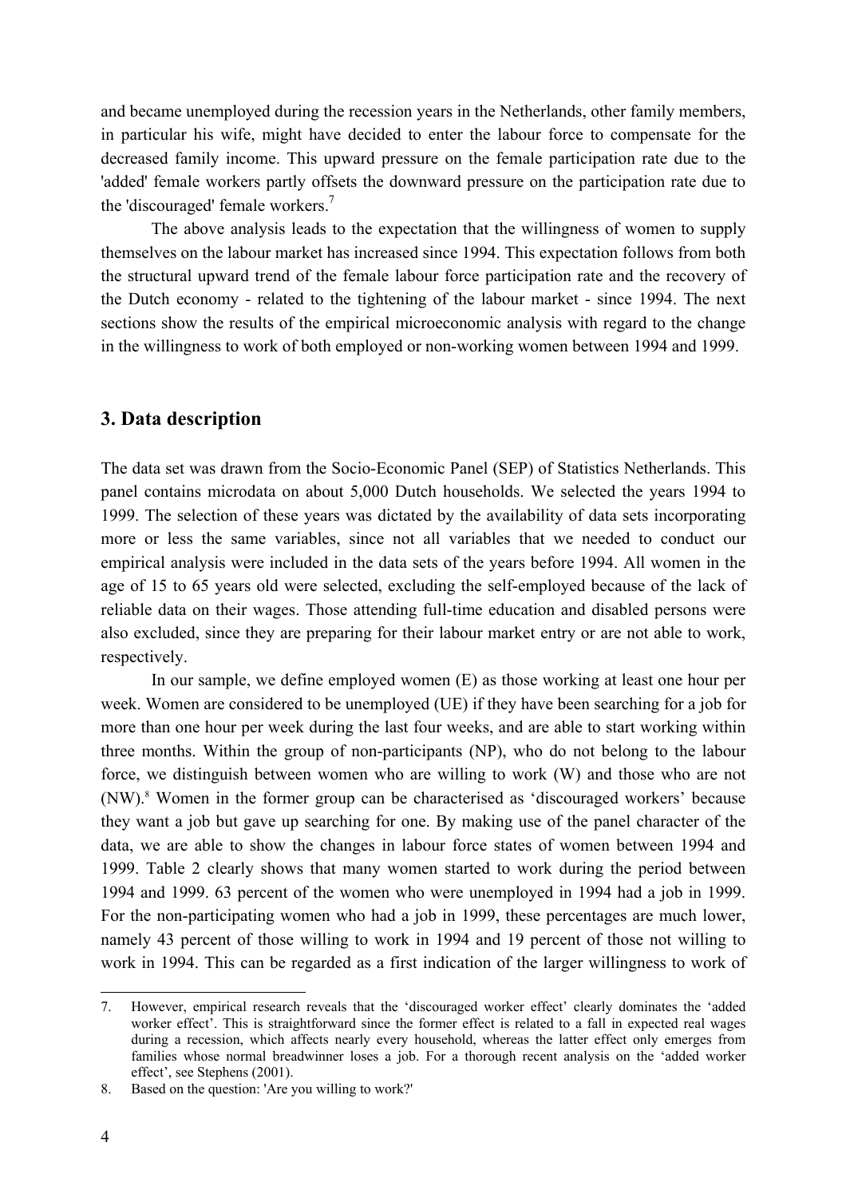and became unemployed during the recession years in the Netherlands, other family members, in particular his wife, might have decided to enter the labour force to compensate for the decreased family income. This upward pressure on the female participation rate due to the 'added' female workers partly offsets the downward pressure on the participation rate due to the 'discouraged' female workers. $<sup>7</sup>$ </sup>

 The above analysis leads to the expectation that the willingness of women to supply themselves on the labour market has increased since 1994. This expectation follows from both the structural upward trend of the female labour force participation rate and the recovery of the Dutch economy - related to the tightening of the labour market - since 1994. The next sections show the results of the empirical microeconomic analysis with regard to the change in the willingness to work of both employed or non-working women between 1994 and 1999.

## **3. Data description**

The data set was drawn from the Socio-Economic Panel (SEP) of Statistics Netherlands. This panel contains microdata on about 5,000 Dutch households. We selected the years 1994 to 1999. The selection of these years was dictated by the availability of data sets incorporating more or less the same variables, since not all variables that we needed to conduct our empirical analysis were included in the data sets of the years before 1994. All women in the age of 15 to 65 years old were selected, excluding the self-employed because of the lack of reliable data on their wages. Those attending full-time education and disabled persons were also excluded, since they are preparing for their labour market entry or are not able to work, respectively.

 In our sample, we define employed women (E) as those working at least one hour per week. Women are considered to be unemployed (UE) if they have been searching for a job for more than one hour per week during the last four weeks, and are able to start working within three months. Within the group of non-participants (NP), who do not belong to the labour force, we distinguish between women who are willing to work (W) and those who are not (NW).<sup>8</sup> Women in the former group can be characterised as 'discouraged workers' because they want a job but gave up searching for one. By making use of the panel character of the data, we are able to show the changes in labour force states of women between 1994 and 1999. Table 2 clearly shows that many women started to work during the period between 1994 and 1999. 63 percent of the women who were unemployed in 1994 had a job in 1999. For the non-participating women who had a job in 1999, these percentages are much lower, namely 43 percent of those willing to work in 1994 and 19 percent of those not willing to work in 1994. This can be regarded as a first indication of the larger willingness to work of

 $\overline{a}$ 

<sup>7.</sup> However, empirical research reveals that the 'discouraged worker effect' clearly dominates the 'added worker effect'. This is straightforward since the former effect is related to a fall in expected real wages during a recession, which affects nearly every household, whereas the latter effect only emerges from families whose normal breadwinner loses a job. For a thorough recent analysis on the 'added worker effect', see Stephens (2001).

<sup>8.</sup> Based on the question: 'Are you willing to work?'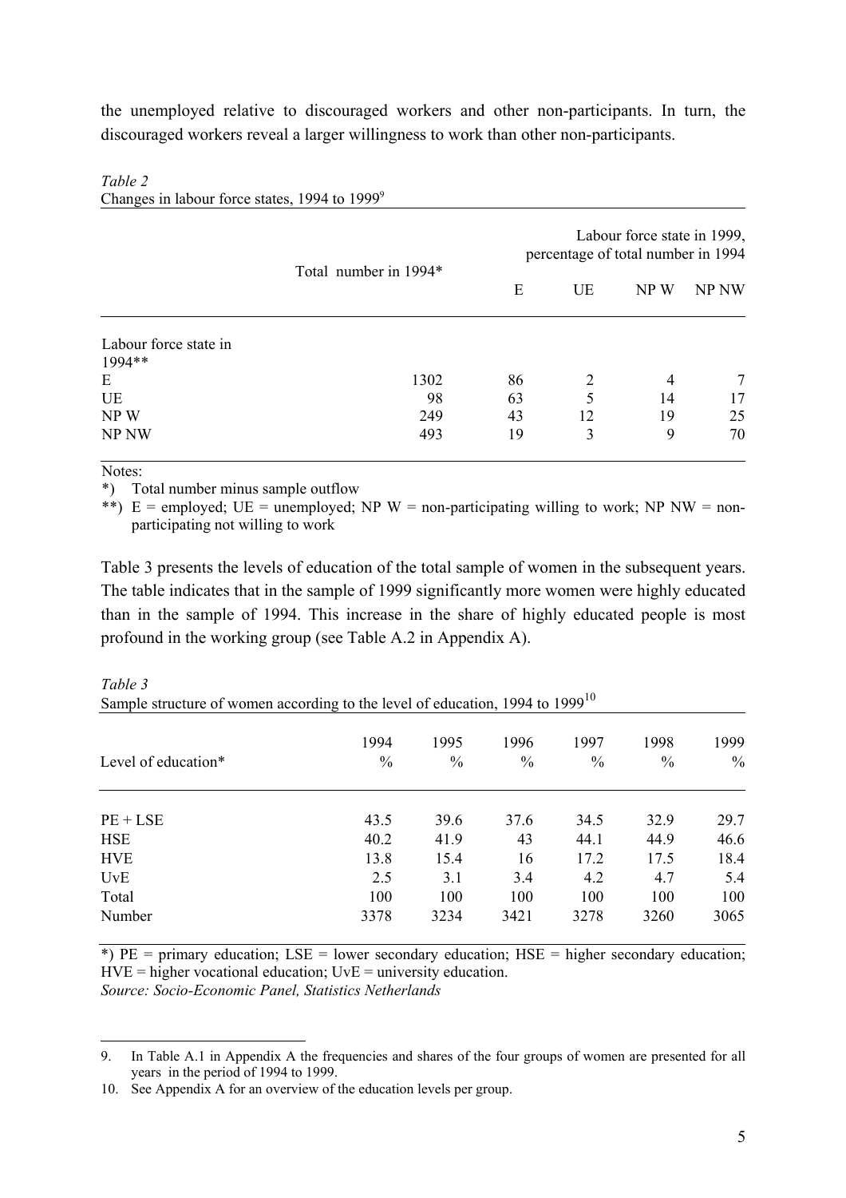the unemployed relative to discouraged workers and other non-participants. In turn, the discouraged workers reveal a larger willingness to work than other non-participants.

|                                 |                       | Labour force state in 1999,<br>percentage of total number in 1994 |    |      |       |  |
|---------------------------------|-----------------------|-------------------------------------------------------------------|----|------|-------|--|
|                                 | Total number in 1994* | Ε                                                                 | UE | NP W | NP NW |  |
| Labour force state in<br>1994** |                       |                                                                   |    |      |       |  |
| Ε                               | 1302                  | 86                                                                | 2  | 4    |       |  |
| UE                              | 98                    | 63                                                                | 5  | 14   | 17    |  |
| NP W                            | 249                   | 43                                                                | 12 | 19   | 25    |  |
| <b>NP NW</b>                    | 493                   | 19                                                                | 3  | 9    | 70    |  |

#### *Table 2*

Changes in labour force states, 1994 to 1999<sup>9</sup>

### Notes:

\*) Total number minus sample outflow

\*\*) E = employed; UE = unemployed; NP W = non-participating willing to work; NP NW = nonparticipating not willing to work

Table 3 presents the levels of education of the total sample of women in the subsequent years. The table indicates that in the sample of 1999 significantly more women were highly educated than in the sample of 1994. This increase in the share of highly educated people is most profound in the working group (see Table A.2 in Appendix A).

| Sample structure of women according to the level of education, 1994 to 1999 |               |               |               |      |               |               |  |  |  |  |
|-----------------------------------------------------------------------------|---------------|---------------|---------------|------|---------------|---------------|--|--|--|--|
|                                                                             | 1994          | 1995          | 1996          | 1997 | 1998          | 1999          |  |  |  |  |
| Level of education*                                                         | $\frac{0}{0}$ | $\frac{0}{0}$ | $\frac{0}{0}$ | $\%$ | $\frac{0}{0}$ | $\frac{0}{0}$ |  |  |  |  |
| $PE + LSE$                                                                  | 43.5          | 39.6          | 37.6          | 34.5 | 32.9          | 29.7          |  |  |  |  |
| <b>HSE</b>                                                                  | 40.2          | 41.9          | 43            | 44.1 | 44.9          | 46.6          |  |  |  |  |
| <b>HVE</b>                                                                  | 13.8          | 15.4          | 16            | 17.2 | 17.5          | 18.4          |  |  |  |  |
| UvE                                                                         | 2.5           | 3.1           | 3.4           | 4.2  | 4.7           | 5.4           |  |  |  |  |
| Total                                                                       | 100           | 100           | 100           | 100  | 100           | 100           |  |  |  |  |
| Number                                                                      | 3378          | 3234          | 3421          | 3278 | 3260          | 3065          |  |  |  |  |

*Table 3*  Sample structure of women according to the level of education,  $1004$  to  $1000^{10}$ 

 $*$ ) PE = primary education; LSE = lower secondary education; HSE = higher secondary education;  $HVE = higher vocational education$ ;  $UVE = university education$ . *Source: Socio-Economic Panel, Statistics Netherlands*

 $\overline{a}$ 9. In Table A.1 in Appendix A the frequencies and shares of the four groups of women are presented for all years in the period of 1994 to 1999.

<sup>10.</sup> See Appendix A for an overview of the education levels per group.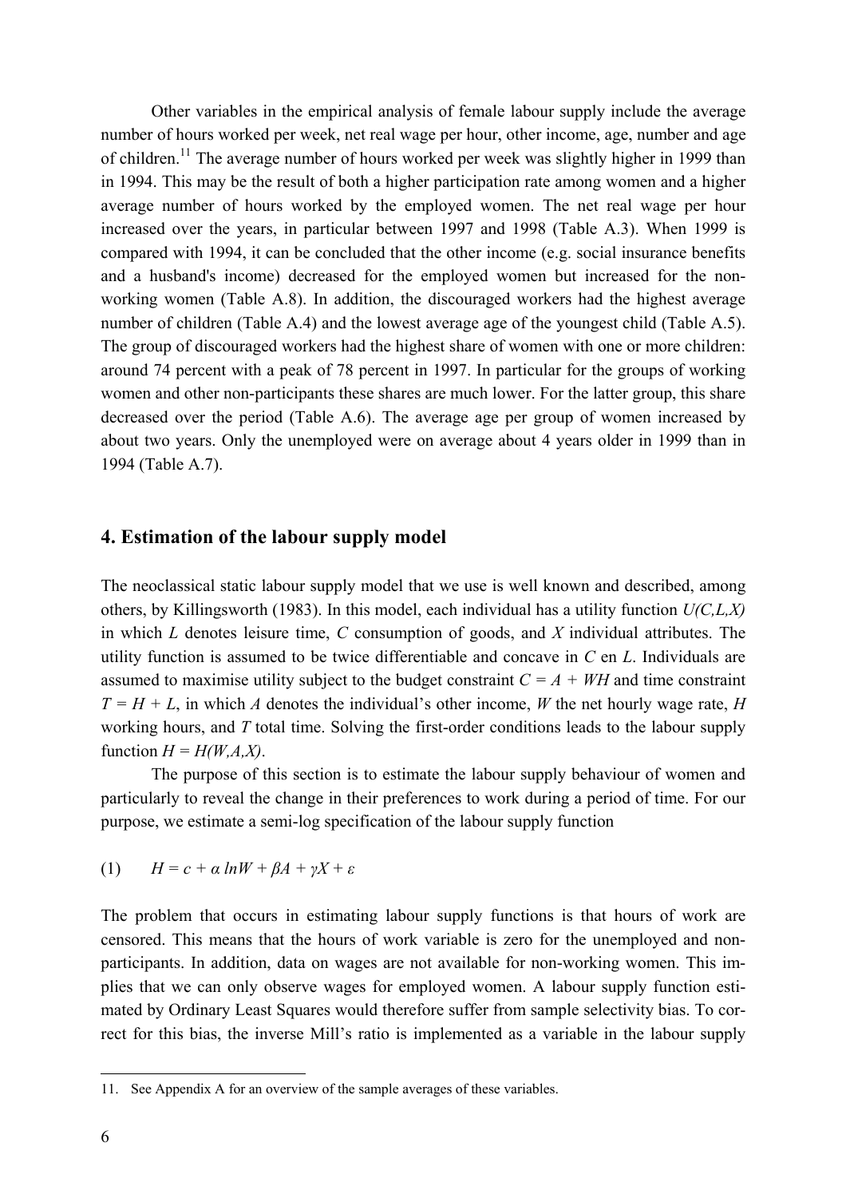Other variables in the empirical analysis of female labour supply include the average number of hours worked per week, net real wage per hour, other income, age, number and age of children.<sup>11</sup> The average number of hours worked per week was slightly higher in 1999 than in 1994. This may be the result of both a higher participation rate among women and a higher average number of hours worked by the employed women. The net real wage per hour increased over the years, in particular between 1997 and 1998 (Table A.3). When 1999 is compared with 1994, it can be concluded that the other income (e.g. social insurance benefits and a husband's income) decreased for the employed women but increased for the nonworking women (Table A.8). In addition, the discouraged workers had the highest average number of children (Table A.4) and the lowest average age of the youngest child (Table A.5). The group of discouraged workers had the highest share of women with one or more children: around 74 percent with a peak of 78 percent in 1997. In particular for the groups of working women and other non-participants these shares are much lower. For the latter group, this share decreased over the period (Table A.6). The average age per group of women increased by about two years. Only the unemployed were on average about 4 years older in 1999 than in 1994 (Table A.7).

## **4. Estimation of the labour supply model**

The neoclassical static labour supply model that we use is well known and described, among others, by Killingsworth (1983). In this model, each individual has a utility function *U(C,L,X)*  in which *L* denotes leisure time, *C* consumption of goods, and *X* individual attributes. The utility function is assumed to be twice differentiable and concave in *C* en *L*. Individuals are assumed to maximise utility subject to the budget constraint  $C = A + WH$  and time constraint  $T = H + L$ , in which *A* denotes the individual's other income, *W* the net hourly wage rate, *H* working hours, and *T* total time. Solving the first-order conditions leads to the labour supply function  $H = H(W, A, X)$ .

 The purpose of this section is to estimate the labour supply behaviour of women and particularly to reveal the change in their preferences to work during a period of time. For our purpose, we estimate a semi-log specification of the labour supply function

(1) 
$$
H = c + \alpha \ln W + \beta A + \gamma X + \varepsilon
$$

The problem that occurs in estimating labour supply functions is that hours of work are censored. This means that the hours of work variable is zero for the unemployed and nonparticipants. In addition, data on wages are not available for non-working women. This implies that we can only observe wages for employed women. A labour supply function estimated by Ordinary Least Squares would therefore suffer from sample selectivity bias. To correct for this bias, the inverse Mill's ratio is implemented as a variable in the labour supply

 $\overline{a}$ 

<sup>11.</sup> See Appendix A for an overview of the sample averages of these variables.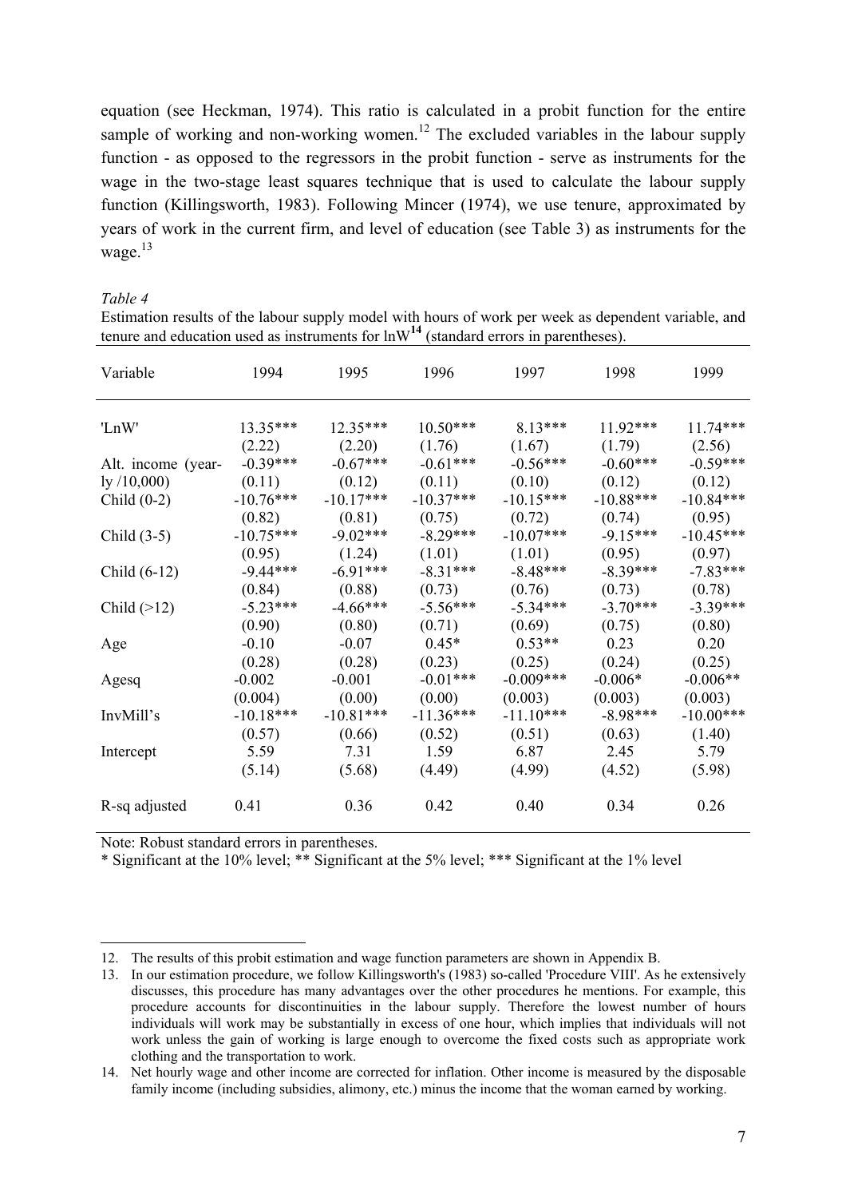equation (see Heckman, 1974). This ratio is calculated in a probit function for the entire sample of working and non-working women.<sup>12</sup> The excluded variables in the labour supply function - as opposed to the regressors in the probit function - serve as instruments for the wage in the two-stage least squares technique that is used to calculate the labour supply function (Killingsworth, 1983). Following Mincer (1974), we use tenure, approximated by years of work in the current firm, and level of education (see Table 3) as instruments for the wage.<sup>13</sup>

*Table 4* 

 $\overline{a}$ 

Estimation results of the labour supply model with hours of work per week as dependent variable, and tenure and education used as instruments for  $lnW<sup>14</sup>$  (standard errors in parentheses).

| Variable               | 1994        | 1995        | 1996        | 1997        | 1998        | 1999        |
|------------------------|-------------|-------------|-------------|-------------|-------------|-------------|
| 'LnW'                  | $13.35***$  | $12.35***$  | $10.50***$  | $8.13***$   | $11.92***$  | $11.74***$  |
|                        | (2.22)      | (2.20)      | (1.76)      | (1.67)      | (1.79)      | (2.56)      |
| Alt. income (year-     | $-0.39***$  | $-0.67***$  | $-0.61***$  | $-0.56***$  | $-0.60***$  | $-0.59***$  |
| $\frac{1}{9}$ /10,000) | (0.11)      | (0.12)      | (0.11)      | (0.10)      | (0.12)      | (0.12)      |
| Child $(0-2)$          | $-10.76***$ | $-10.17***$ | $-10.37***$ | $-10.15***$ | $-10.88***$ | $-10.84***$ |
|                        | (0.82)      | (0.81)      | (0.75)      | (0.72)      | (0.74)      | (0.95)      |
| Child $(3-5)$          | $-10.75***$ | $-9.02***$  | $-8.29***$  | $-10.07***$ | $-9.15***$  | $-10.45***$ |
|                        | (0.95)      | (1.24)      | (1.01)      | (1.01)      | (0.95)      | (0.97)      |
| Child $(6-12)$         | $-9.44***$  | $-6.91***$  | $-8.31***$  | $-8.48***$  | $-8.39***$  | $-7.83***$  |
|                        | (0.84)      | (0.88)      | (0.73)      | (0.76)      | (0.73)      | (0.78)      |
| Child $(>12)$          | $-5.23***$  | $-4.66***$  | $-5.56***$  | $-5.34***$  | $-3.70***$  | $-3.39***$  |
|                        | (0.90)      | (0.80)      | (0.71)      | (0.69)      | (0.75)      | (0.80)      |
| Age                    | $-0.10$     | $-0.07$     | $0.45*$     | $0.53**$    | 0.23        | 0.20        |
|                        | (0.28)      | (0.28)      | (0.23)      | (0.25)      | (0.24)      | (0.25)      |
| Agesq                  | $-0.002$    | $-0.001$    | $-0.01***$  | $-0.009***$ | $-0.006*$   | $-0.006**$  |
|                        | (0.004)     | (0.00)      | (0.00)      | (0.003)     | (0.003)     | (0.003)     |
| InvMill's              | $-10.18***$ | $-10.81***$ | $-11.36***$ | $-11.10***$ | $-8.98***$  | $-10.00***$ |
|                        | (0.57)      | (0.66)      | (0.52)      | (0.51)      | (0.63)      | (1.40)      |
| Intercept              | 5.59        | 7.31        | 1.59        | 6.87        | 2.45        | 5.79        |
|                        | (5.14)      | (5.68)      | (4.49)      | (4.99)      | (4.52)      | (5.98)      |
| R-sq adjusted          | 0.41        | 0.36        | 0.42        | 0.40        | 0.34        | 0.26        |

Note: Robust standard errors in parentheses.

\* Significant at the 10% level; \*\* Significant at the 5% level; \*\*\* Significant at the 1% level

<sup>12.</sup> The results of this probit estimation and wage function parameters are shown in Appendix B.

<sup>13.</sup> In our estimation procedure, we follow Killingsworth's (1983) so-called 'Procedure VIII'. As he extensively discusses, this procedure has many advantages over the other procedures he mentions. For example, this procedure accounts for discontinuities in the labour supply. Therefore the lowest number of hours individuals will work may be substantially in excess of one hour, which implies that individuals will not work unless the gain of working is large enough to overcome the fixed costs such as appropriate work clothing and the transportation to work.

<sup>14.</sup> Net hourly wage and other income are corrected for inflation. Other income is measured by the disposable family income (including subsidies, alimony, etc.) minus the income that the woman earned by working.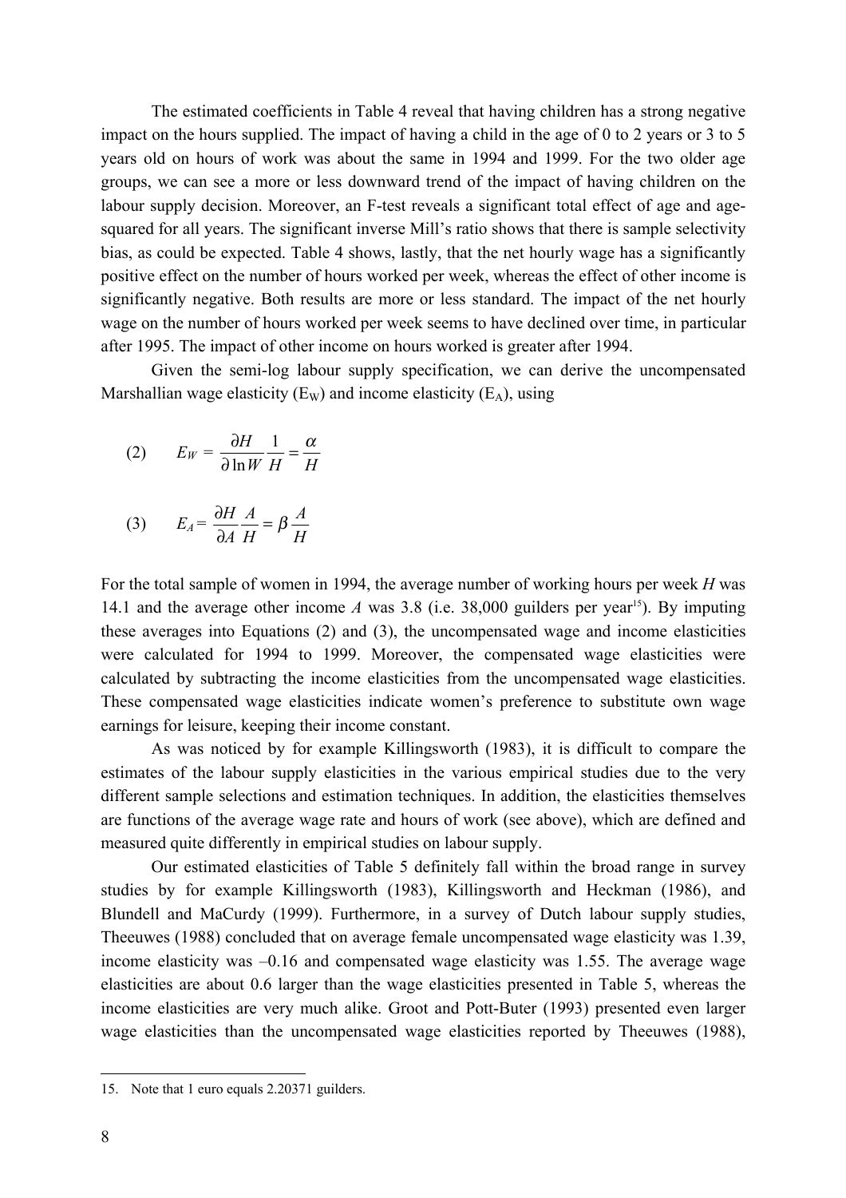The estimated coefficients in Table 4 reveal that having children has a strong negative impact on the hours supplied. The impact of having a child in the age of 0 to 2 years or 3 to 5 years old on hours of work was about the same in 1994 and 1999. For the two older age groups, we can see a more or less downward trend of the impact of having children on the labour supply decision. Moreover, an F-test reveals a significant total effect of age and agesquared for all years. The significant inverse Mill's ratio shows that there is sample selectivity bias, as could be expected. Table 4 shows, lastly, that the net hourly wage has a significantly positive effect on the number of hours worked per week, whereas the effect of other income is significantly negative. Both results are more or less standard. The impact of the net hourly wage on the number of hours worked per week seems to have declined over time, in particular after 1995. The impact of other income on hours worked is greater after 1994.

 Given the semi-log labour supply specification, we can derive the uncompensated Marshallian wage elasticity  $(E_W)$  and income elasticity  $(E_A)$ , using

$$
(2) \qquad E_W = \frac{\partial H}{\partial \ln W} \frac{1}{H} = \frac{\alpha}{H}
$$

$$
(3) \tE_A = \frac{\partial H}{\partial A} \frac{A}{H} = \beta \frac{A}{H}
$$

For the total sample of women in 1994, the average number of working hours per week *H* was 14.1 and the average other income *A* was 3.8 (i.e. 38,000 guilders per year<sup>15</sup>). By imputing these averages into Equations (2) and (3), the uncompensated wage and income elasticities were calculated for 1994 to 1999. Moreover, the compensated wage elasticities were calculated by subtracting the income elasticities from the uncompensated wage elasticities. These compensated wage elasticities indicate women's preference to substitute own wage earnings for leisure, keeping their income constant.

 As was noticed by for example Killingsworth (1983), it is difficult to compare the estimates of the labour supply elasticities in the various empirical studies due to the very different sample selections and estimation techniques. In addition, the elasticities themselves are functions of the average wage rate and hours of work (see above), which are defined and measured quite differently in empirical studies on labour supply.

 Our estimated elasticities of Table 5 definitely fall within the broad range in survey studies by for example Killingsworth (1983), Killingsworth and Heckman (1986), and Blundell and MaCurdy (1999). Furthermore, in a survey of Dutch labour supply studies, Theeuwes (1988) concluded that on average female uncompensated wage elasticity was 1.39, income elasticity was –0.16 and compensated wage elasticity was 1.55. The average wage elasticities are about 0.6 larger than the wage elasticities presented in Table 5, whereas the income elasticities are very much alike. Groot and Pott-Buter (1993) presented even larger wage elasticities than the uncompensated wage elasticities reported by Theeuwes (1988),

 $\overline{a}$ 

<sup>15.</sup> Note that 1 euro equals 2.20371 guilders.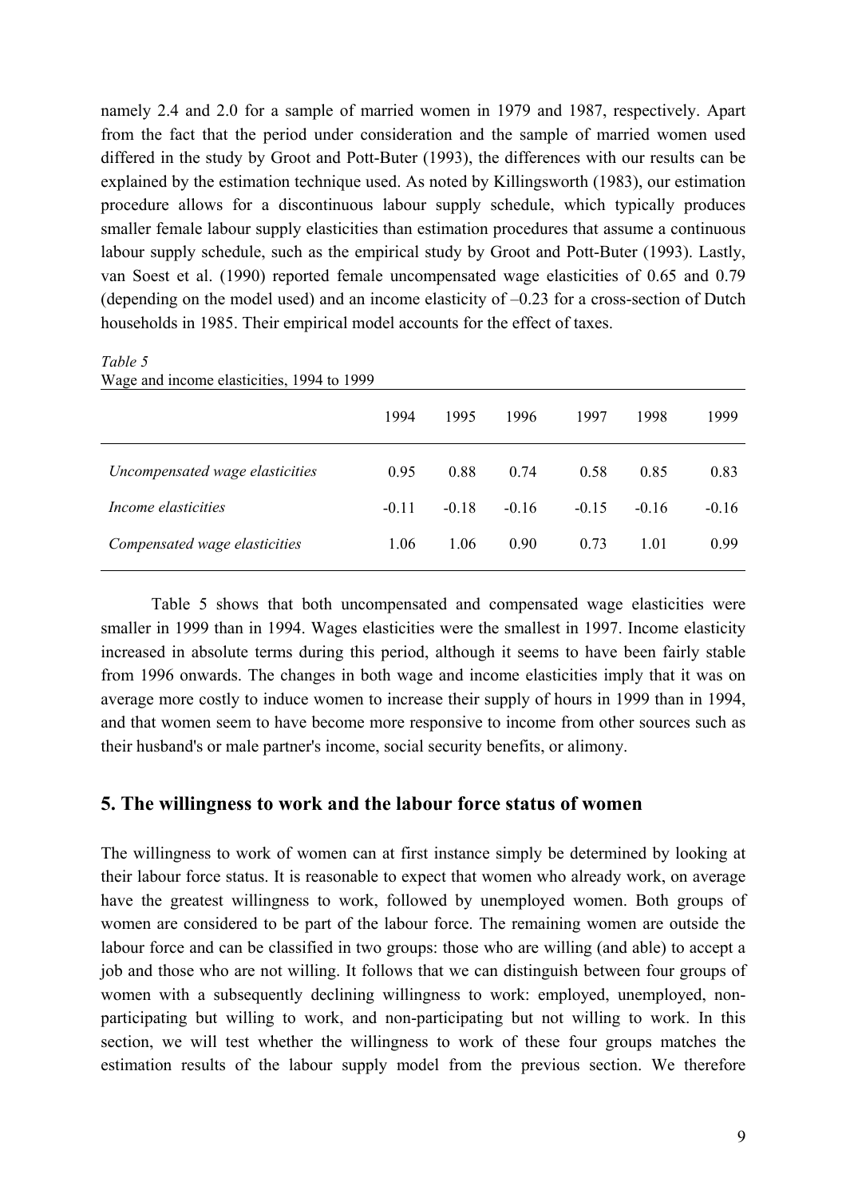namely 2.4 and 2.0 for a sample of married women in 1979 and 1987, respectively. Apart from the fact that the period under consideration and the sample of married women used differed in the study by Groot and Pott-Buter (1993), the differences with our results can be explained by the estimation technique used. As noted by Killingsworth (1983), our estimation procedure allows for a discontinuous labour supply schedule, which typically produces smaller female labour supply elasticities than estimation procedures that assume a continuous labour supply schedule, such as the empirical study by Groot and Pott-Buter (1993). Lastly, van Soest et al. (1990) reported female uncompensated wage elasticities of 0.65 and 0.79 (depending on the model used) and an income elasticity of –0.23 for a cross-section of Dutch households in 1985. Their empirical model accounts for the effect of taxes.

#### *Table 5*

| $\alpha$ and mount casticities, $122 + 10$ |         |         |         |         |         |         |
|--------------------------------------------|---------|---------|---------|---------|---------|---------|
|                                            | 1994    | 1995    | 1996    | 1997    | 1998    | 1999    |
| Uncompensated wage elasticities            | 0.95    | 0.88    | 0.74    | 0.58    | 0.85    | 0.83    |
| Income elasticities                        | $-0.11$ | $-0.18$ | $-0.16$ | $-0.15$ | $-0.16$ | $-0.16$ |
| Compensated wage elasticities              | 1.06    | 1.06    | 0.90    | 0.73    | 1.01    | 0.99    |
|                                            |         |         |         |         |         |         |

Wage and income elasticities, 1994 to 1999

 Table 5 shows that both uncompensated and compensated wage elasticities were smaller in 1999 than in 1994. Wages elasticities were the smallest in 1997. Income elasticity increased in absolute terms during this period, although it seems to have been fairly stable from 1996 onwards. The changes in both wage and income elasticities imply that it was on average more costly to induce women to increase their supply of hours in 1999 than in 1994, and that women seem to have become more responsive to income from other sources such as their husband's or male partner's income, social security benefits, or alimony.

## **5. The willingness to work and the labour force status of women**

The willingness to work of women can at first instance simply be determined by looking at their labour force status. It is reasonable to expect that women who already work, on average have the greatest willingness to work, followed by unemployed women. Both groups of women are considered to be part of the labour force. The remaining women are outside the labour force and can be classified in two groups: those who are willing (and able) to accept a job and those who are not willing. It follows that we can distinguish between four groups of women with a subsequently declining willingness to work: employed, unemployed, nonparticipating but willing to work, and non-participating but not willing to work. In this section, we will test whether the willingness to work of these four groups matches the estimation results of the labour supply model from the previous section. We therefore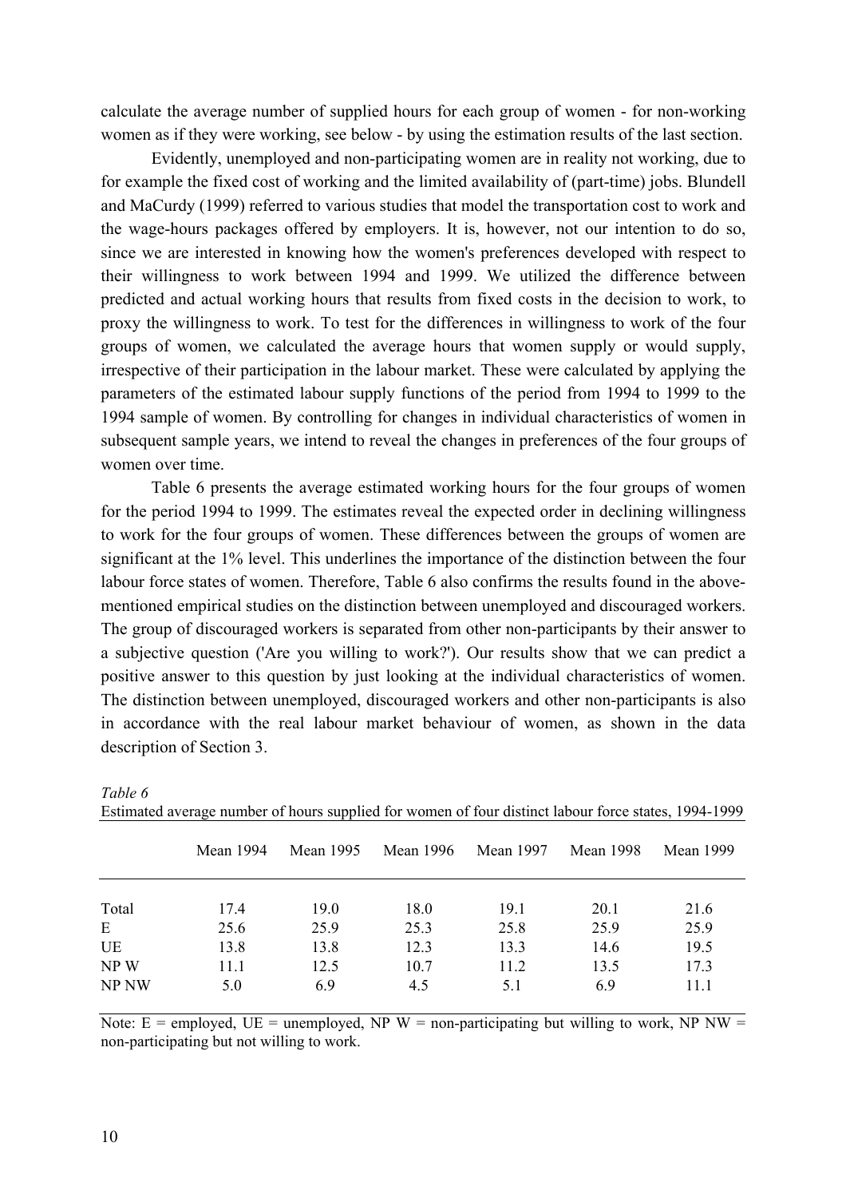calculate the average number of supplied hours for each group of women - for non-working women as if they were working, see below - by using the estimation results of the last section.

 Evidently, unemployed and non-participating women are in reality not working, due to for example the fixed cost of working and the limited availability of (part-time) jobs. Blundell and MaCurdy (1999) referred to various studies that model the transportation cost to work and the wage-hours packages offered by employers. It is, however, not our intention to do so, since we are interested in knowing how the women's preferences developed with respect to their willingness to work between 1994 and 1999. We utilized the difference between predicted and actual working hours that results from fixed costs in the decision to work, to proxy the willingness to work. To test for the differences in willingness to work of the four groups of women, we calculated the average hours that women supply or would supply, irrespective of their participation in the labour market. These were calculated by applying the parameters of the estimated labour supply functions of the period from 1994 to 1999 to the 1994 sample of women. By controlling for changes in individual characteristics of women in subsequent sample years, we intend to reveal the changes in preferences of the four groups of women over time.

 Table 6 presents the average estimated working hours for the four groups of women for the period 1994 to 1999. The estimates reveal the expected order in declining willingness to work for the four groups of women. These differences between the groups of women are significant at the 1% level. This underlines the importance of the distinction between the four labour force states of women. Therefore, Table 6 also confirms the results found in the abovementioned empirical studies on the distinction between unemployed and discouraged workers. The group of discouraged workers is separated from other non-participants by their answer to a subjective question ('Are you willing to work?'). Our results show that we can predict a positive answer to this question by just looking at the individual characteristics of women. The distinction between unemployed, discouraged workers and other non-participants is also in accordance with the real labour market behaviour of women, as shown in the data description of Section 3.

|       | Mean 1994 | Mean 1995 | Mean 1996 | Mean 1997 | <b>Mean 1998</b> | <b>Mean 1999</b> |
|-------|-----------|-----------|-----------|-----------|------------------|------------------|
| Total | 17.4      | 19.0      | 18.0      | 19.1      | 20.1             | 21.6             |
| E     | 25.6      | 25.9      | 25.3      | 25.8      | 25.9             | 25.9             |
| UE    | 13.8      | 13.8      | 12.3      | 13.3      | 14.6             | 19.5             |
| NPW   | 11.1      | 12.5      | 10.7      | 11.2      | 13.5             | 17.3             |
| NP NW | 5.0       | 6.9       | 4.5       | 5.1       | 6.9              | 11.1             |

Estimated average number of hours supplied for women of four distinct labour force states, 1994-1999

Note:  $E =$  employed,  $UE =$  unemployed, NP W = non-participating but willing to work, NP NW = non-participating but not willing to work.

*Table 6*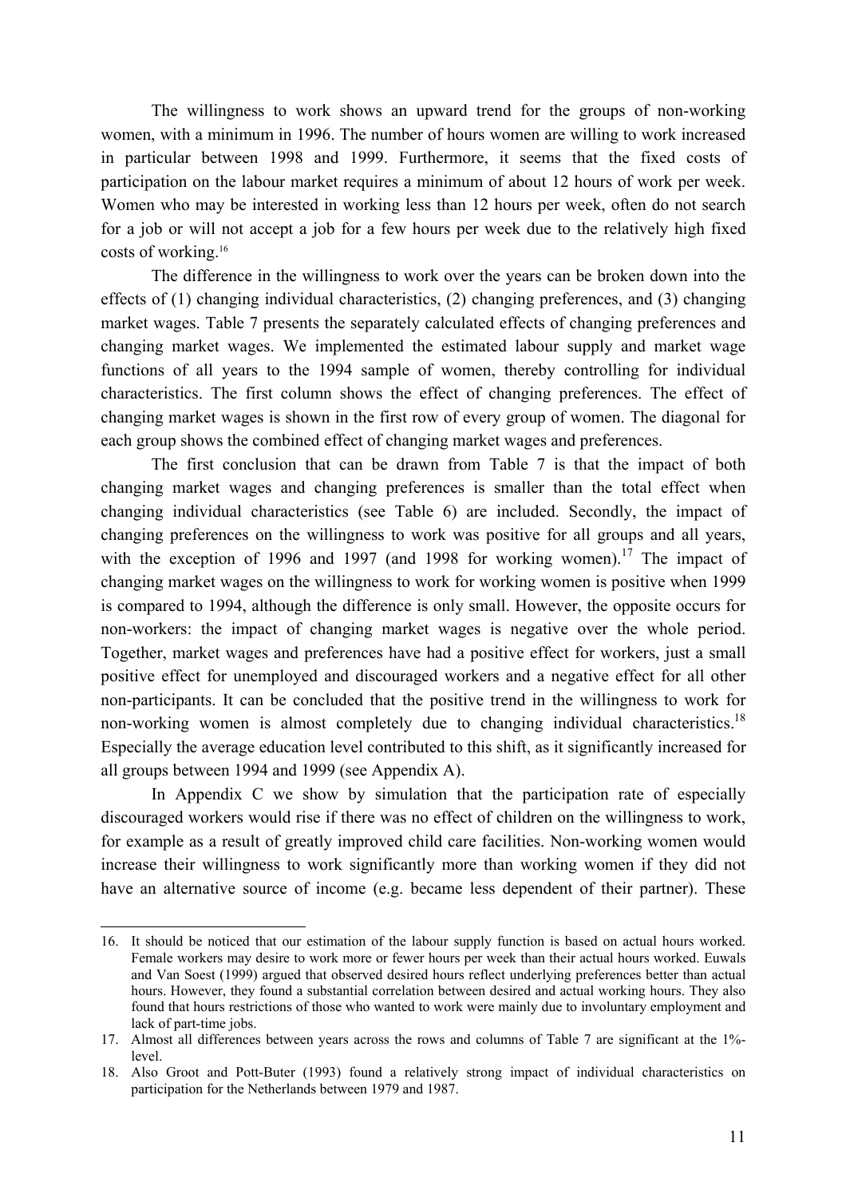The willingness to work shows an upward trend for the groups of non-working women, with a minimum in 1996. The number of hours women are willing to work increased in particular between 1998 and 1999. Furthermore, it seems that the fixed costs of participation on the labour market requires a minimum of about 12 hours of work per week. Women who may be interested in working less than 12 hours per week, often do not search for a job or will not accept a job for a few hours per week due to the relatively high fixed costs of working.16

 The difference in the willingness to work over the years can be broken down into the effects of (1) changing individual characteristics, (2) changing preferences, and (3) changing market wages. Table 7 presents the separately calculated effects of changing preferences and changing market wages. We implemented the estimated labour supply and market wage functions of all years to the 1994 sample of women, thereby controlling for individual characteristics. The first column shows the effect of changing preferences. The effect of changing market wages is shown in the first row of every group of women. The diagonal for each group shows the combined effect of changing market wages and preferences.

 The first conclusion that can be drawn from Table 7 is that the impact of both changing market wages and changing preferences is smaller than the total effect when changing individual characteristics (see Table 6) are included. Secondly, the impact of changing preferences on the willingness to work was positive for all groups and all years, with the exception of 1996 and 1997 (and 1998 for working women).<sup>17</sup> The impact of changing market wages on the willingness to work for working women is positive when 1999 is compared to 1994, although the difference is only small. However, the opposite occurs for non-workers: the impact of changing market wages is negative over the whole period. Together, market wages and preferences have had a positive effect for workers, just a small positive effect for unemployed and discouraged workers and a negative effect for all other non-participants. It can be concluded that the positive trend in the willingness to work for non-working women is almost completely due to changing individual characteristics.<sup>18</sup> Especially the average education level contributed to this shift, as it significantly increased for all groups between 1994 and 1999 (see Appendix A).

 In Appendix C we show by simulation that the participation rate of especially discouraged workers would rise if there was no effect of children on the willingness to work, for example as a result of greatly improved child care facilities. Non-working women would increase their willingness to work significantly more than working women if they did not have an alternative source of income (e.g. became less dependent of their partner). These

 $\overline{a}$ 

<sup>16.</sup> It should be noticed that our estimation of the labour supply function is based on actual hours worked. Female workers may desire to work more or fewer hours per week than their actual hours worked. Euwals and Van Soest (1999) argued that observed desired hours reflect underlying preferences better than actual hours. However, they found a substantial correlation between desired and actual working hours. They also found that hours restrictions of those who wanted to work were mainly due to involuntary employment and lack of part-time jobs.

<sup>17.</sup> Almost all differences between years across the rows and columns of Table 7 are significant at the 1% level.

<sup>18.</sup> Also Groot and Pott-Buter (1993) found a relatively strong impact of individual characteristics on participation for the Netherlands between 1979 and 1987.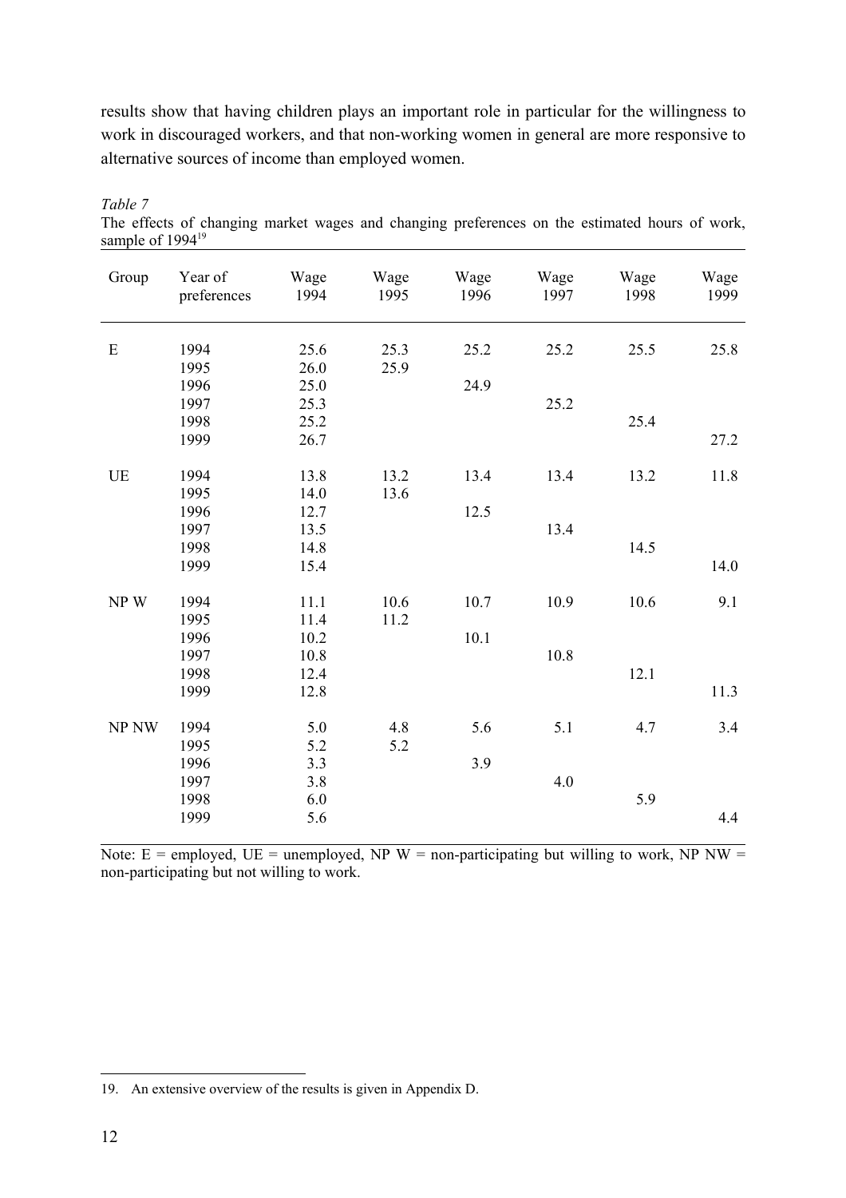results show that having children plays an important role in particular for the willingness to work in discouraged workers, and that non-working women in general are more responsive to alternative sources of income than employed women.

| Group     | Year of<br>preferences | Wage<br>1994 | Wage<br>1995 | Wage<br>1996 | Wage<br>1997 | Wage<br>1998 | Wage<br>1999 |
|-----------|------------------------|--------------|--------------|--------------|--------------|--------------|--------------|
|           |                        |              |              |              |              |              |              |
| ${\bf E}$ | 1994<br>1995           | 25.6<br>26.0 | 25.3<br>25.9 | 25.2         | 25.2         | 25.5         | 25.8         |
|           | 1996                   | 25.0         |              | 24.9         |              |              |              |
|           | 1997                   | 25.3         |              |              | 25.2         |              |              |
|           | 1998                   | 25.2         |              |              |              | 25.4         |              |
|           | 1999                   | 26.7         |              |              |              |              | 27.2         |
|           |                        |              |              |              |              |              |              |
| UE        | 1994                   | 13.8         | 13.2         | 13.4         | 13.4         | 13.2         | 11.8         |
|           | 1995                   | 14.0         | 13.6         |              |              |              |              |
|           | 1996                   | 12.7         |              | 12.5         |              |              |              |
|           | 1997                   | 13.5         |              |              | 13.4         |              |              |
|           | 1998                   | 14.8         |              |              |              | 14.5         |              |
|           | 1999                   | 15.4         |              |              |              |              | 14.0         |
|           |                        |              |              |              |              |              |              |
| NPW       | 1994                   | 11.1         | 10.6         | 10.7         | 10.9         | 10.6         | 9.1          |
|           | 1995                   | 11.4         | 11.2         |              |              |              |              |
|           | 1996                   | 10.2         |              | 10.1         |              |              |              |
|           | 1997                   | 10.8         |              |              | 10.8         |              |              |
|           | 1998                   | 12.4         |              |              |              | 12.1         |              |
|           | 1999                   | 12.8         |              |              |              |              | 11.3         |
|           |                        |              |              |              |              |              |              |
| NP NW     | 1994                   | 5.0          | 4.8          | 5.6          | 5.1          | 4.7          | 3.4          |
|           | 1995                   | 5.2          | 5.2          |              |              |              |              |
|           | 1996                   | 3.3          |              | 3.9          |              |              |              |
|           | 1997                   | 3.8          |              |              | 4.0          |              |              |
|           | 1998                   | 6.0          |              |              |              | 5.9          |              |
|           | 1999                   | 5.6          |              |              |              |              | 4.4          |

*Table 7*  The effects of changing market wages and changing preferences on the estimated hours of work, sample of  $1994^{19}$ 

Note:  $E =$  employed,  $UE =$  unemployed, NP W = non-participating but willing to work, NP NW = non-participating but not willing to work.

 $\overline{a}$ 

<sup>19.</sup> An extensive overview of the results is given in Appendix D.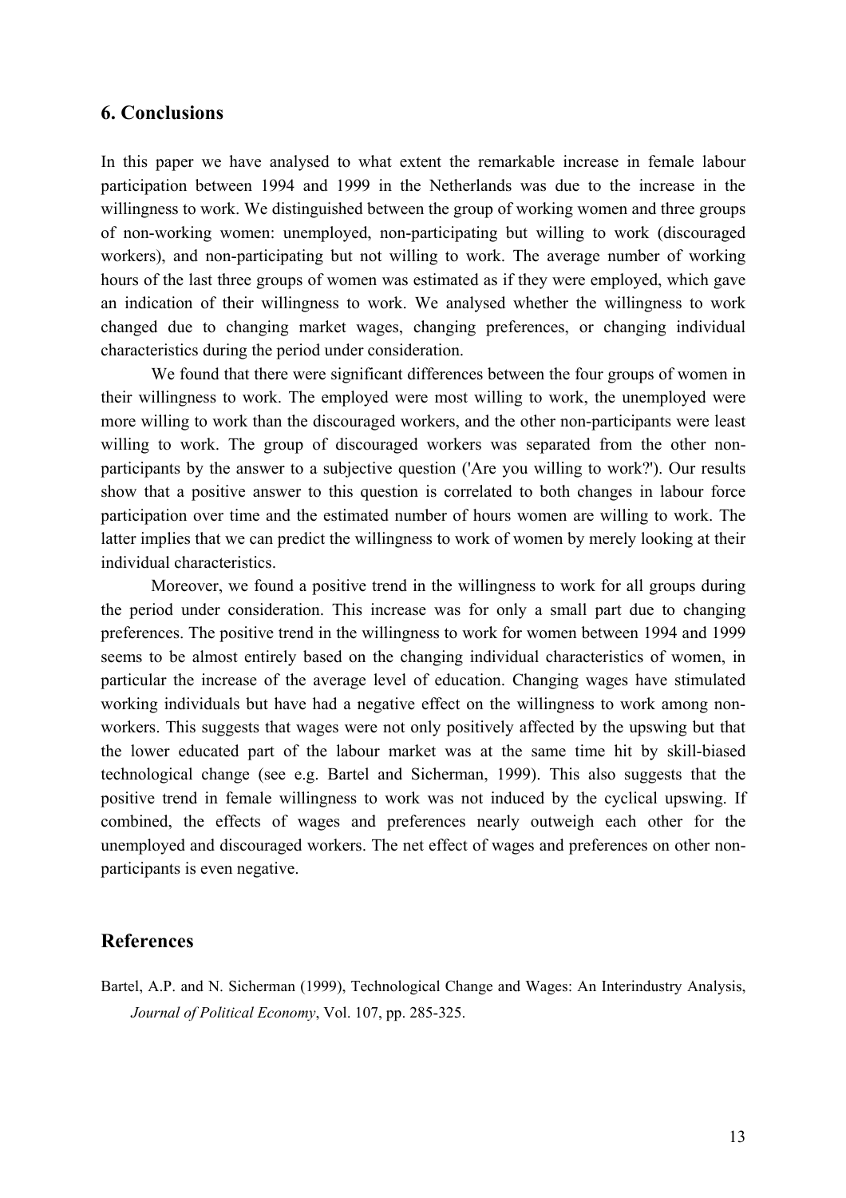## **6. Conclusions**

In this paper we have analysed to what extent the remarkable increase in female labour participation between 1994 and 1999 in the Netherlands was due to the increase in the willingness to work. We distinguished between the group of working women and three groups of non-working women: unemployed, non-participating but willing to work (discouraged workers), and non-participating but not willing to work. The average number of working hours of the last three groups of women was estimated as if they were employed, which gave an indication of their willingness to work. We analysed whether the willingness to work changed due to changing market wages, changing preferences, or changing individual characteristics during the period under consideration.

We found that there were significant differences between the four groups of women in their willingness to work. The employed were most willing to work, the unemployed were more willing to work than the discouraged workers, and the other non-participants were least willing to work. The group of discouraged workers was separated from the other nonparticipants by the answer to a subjective question ('Are you willing to work?'). Our results show that a positive answer to this question is correlated to both changes in labour force participation over time and the estimated number of hours women are willing to work. The latter implies that we can predict the willingness to work of women by merely looking at their individual characteristics.

Moreover, we found a positive trend in the willingness to work for all groups during the period under consideration. This increase was for only a small part due to changing preferences. The positive trend in the willingness to work for women between 1994 and 1999 seems to be almost entirely based on the changing individual characteristics of women, in particular the increase of the average level of education. Changing wages have stimulated working individuals but have had a negative effect on the willingness to work among nonworkers. This suggests that wages were not only positively affected by the upswing but that the lower educated part of the labour market was at the same time hit by skill-biased technological change (see e.g. Bartel and Sicherman, 1999). This also suggests that the positive trend in female willingness to work was not induced by the cyclical upswing. If combined, the effects of wages and preferences nearly outweigh each other for the unemployed and discouraged workers. The net effect of wages and preferences on other nonparticipants is even negative.

### **References**

Bartel, A.P. and N. Sicherman (1999), Technological Change and Wages: An Interindustry Analysis, *Journal of Political Economy*, Vol. 107, pp. 285-325.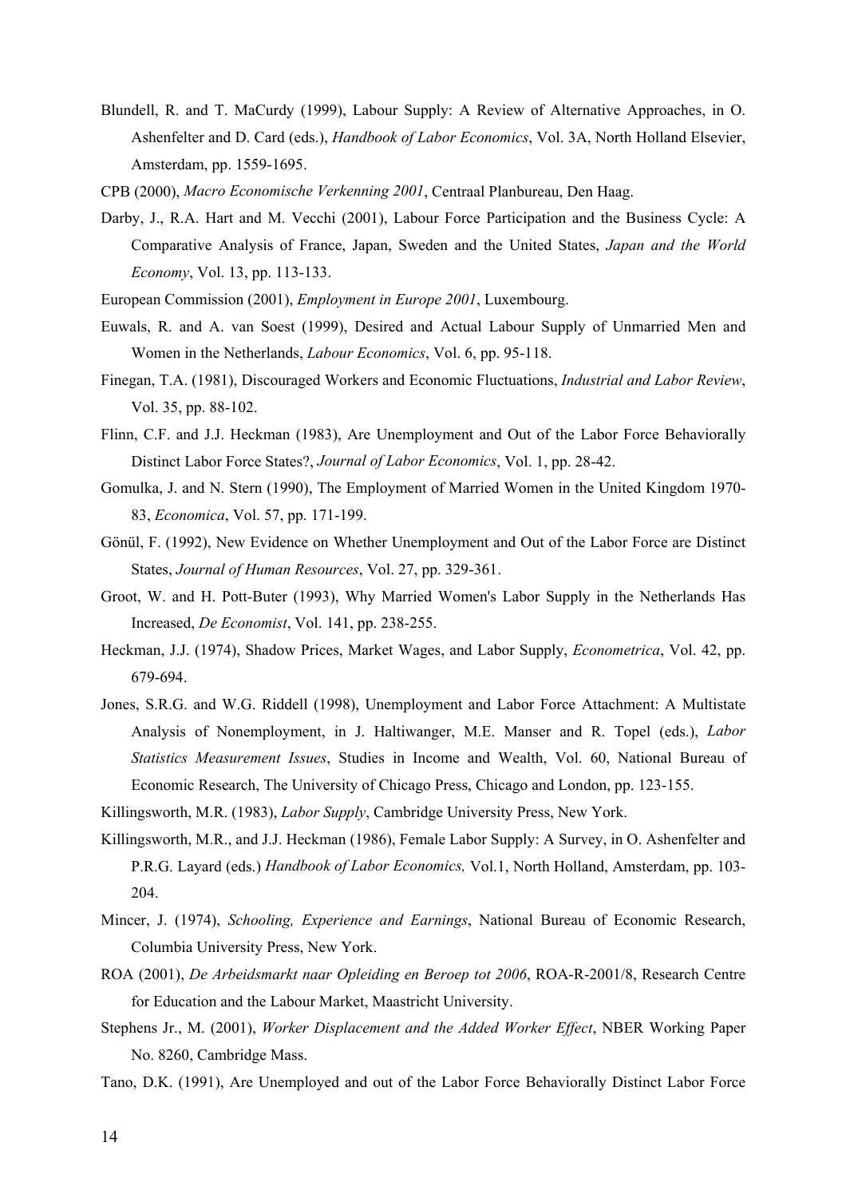- Blundell, R. and T. MaCurdy (1999), Labour Supply: A Review of Alternative Approaches, in O. Ashenfelter and D. Card (eds.), *Handbook of Labor Economics*, Vol. 3A, North Holland Elsevier, Amsterdam, pp. 1559-1695.
- CPB (2000), *Macro Economische Verkenning 2001*, Centraal Planbureau, Den Haag.
- Darby, J., R.A. Hart and M. Vecchi (2001), Labour Force Participation and the Business Cycle: A Comparative Analysis of France, Japan, Sweden and the United States, *Japan and the World Economy*, Vol. 13, pp. 113-133.
- European Commission (2001), *Employment in Europe 2001*, Luxembourg.
- Euwals, R. and A. van Soest (1999), Desired and Actual Labour Supply of Unmarried Men and Women in the Netherlands, *Labour Economics*, Vol. 6, pp. 95-118.
- Finegan, T.A. (1981), Discouraged Workers and Economic Fluctuations, *Industrial and Labor Review*, Vol. 35, pp. 88-102.
- Flinn, C.F. and J.J. Heckman (1983), Are Unemployment and Out of the Labor Force Behaviorally Distinct Labor Force States?, *Journal of Labor Economics*, Vol. 1, pp. 28-42.
- Gomulka, J. and N. Stern (1990), The Employment of Married Women in the United Kingdom 1970- 83, *Economica*, Vol. 57, pp. 171-199.
- Gönül, F. (1992), New Evidence on Whether Unemployment and Out of the Labor Force are Distinct States, *Journal of Human Resources*, Vol. 27, pp. 329-361.
- Groot, W. and H. Pott-Buter (1993), Why Married Women's Labor Supply in the Netherlands Has Increased, *De Economist*, Vol. 141, pp. 238-255.
- Heckman, J.J. (1974), Shadow Prices, Market Wages, and Labor Supply, *Econometrica*, Vol. 42, pp. 679-694.
- Jones, S.R.G. and W.G. Riddell (1998), Unemployment and Labor Force Attachment: A Multistate Analysis of Nonemployment, in J. Haltiwanger, M.E. Manser and R. Topel (eds.), *Labor Statistics Measurement Issues*, Studies in Income and Wealth, Vol. 60, National Bureau of Economic Research, The University of Chicago Press, Chicago and London, pp. 123-155.
- Killingsworth, M.R. (1983), *Labor Supply*, Cambridge University Press, New York.
- Killingsworth, M.R., and J.J. Heckman (1986), Female Labor Supply: A Survey, in O. Ashenfelter and P.R.G. Layard (eds.) *Handbook of Labor Economics,* Vol.1, North Holland, Amsterdam, pp. 103- 204.
- Mincer, J. (1974), *Schooling, Experience and Earnings*, National Bureau of Economic Research, Columbia University Press, New York.
- ROA (2001), *De Arbeidsmarkt naar Opleiding en Beroep tot 2006*, ROA-R-2001/8, Research Centre for Education and the Labour Market, Maastricht University.
- Stephens Jr., M. (2001), *Worker Displacement and the Added Worker Effect*, NBER Working Paper No. 8260, Cambridge Mass.
- Tano, D.K. (1991), Are Unemployed and out of the Labor Force Behaviorally Distinct Labor Force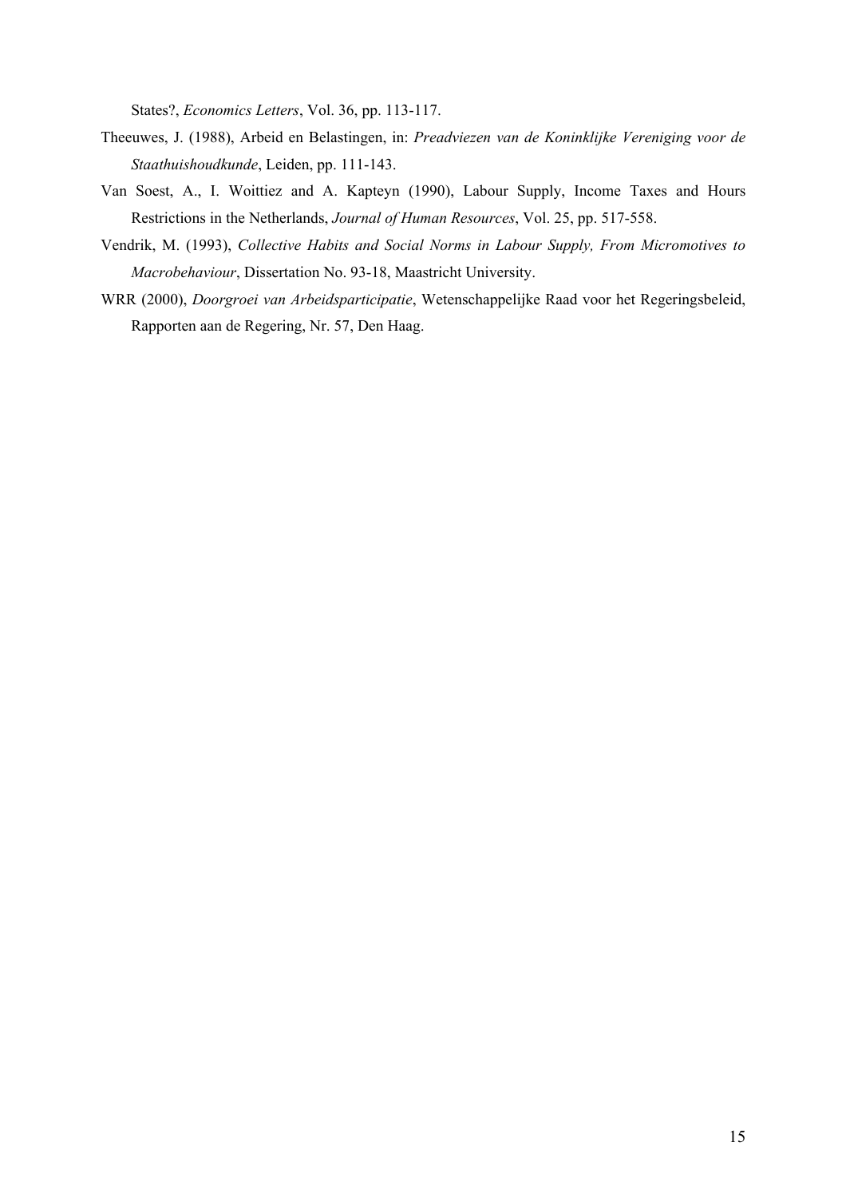States?, *Economics Letters*, Vol. 36, pp. 113-117.

- Theeuwes, J. (1988), Arbeid en Belastingen, in: *Preadviezen van de Koninklijke Vereniging voor de Staathuishoudkunde*, Leiden, pp. 111-143.
- Van Soest, A., I. Woittiez and A. Kapteyn (1990), Labour Supply, Income Taxes and Hours Restrictions in the Netherlands, *Journal of Human Resources*, Vol. 25, pp. 517-558.
- Vendrik, M. (1993), *Collective Habits and Social Norms in Labour Supply, From Micromotives to Macrobehaviour*, Dissertation No. 93-18, Maastricht University.
- WRR (2000), *Doorgroei van Arbeidsparticipatie*, Wetenschappelijke Raad voor het Regeringsbeleid, Rapporten aan de Regering, Nr. 57, Den Haag.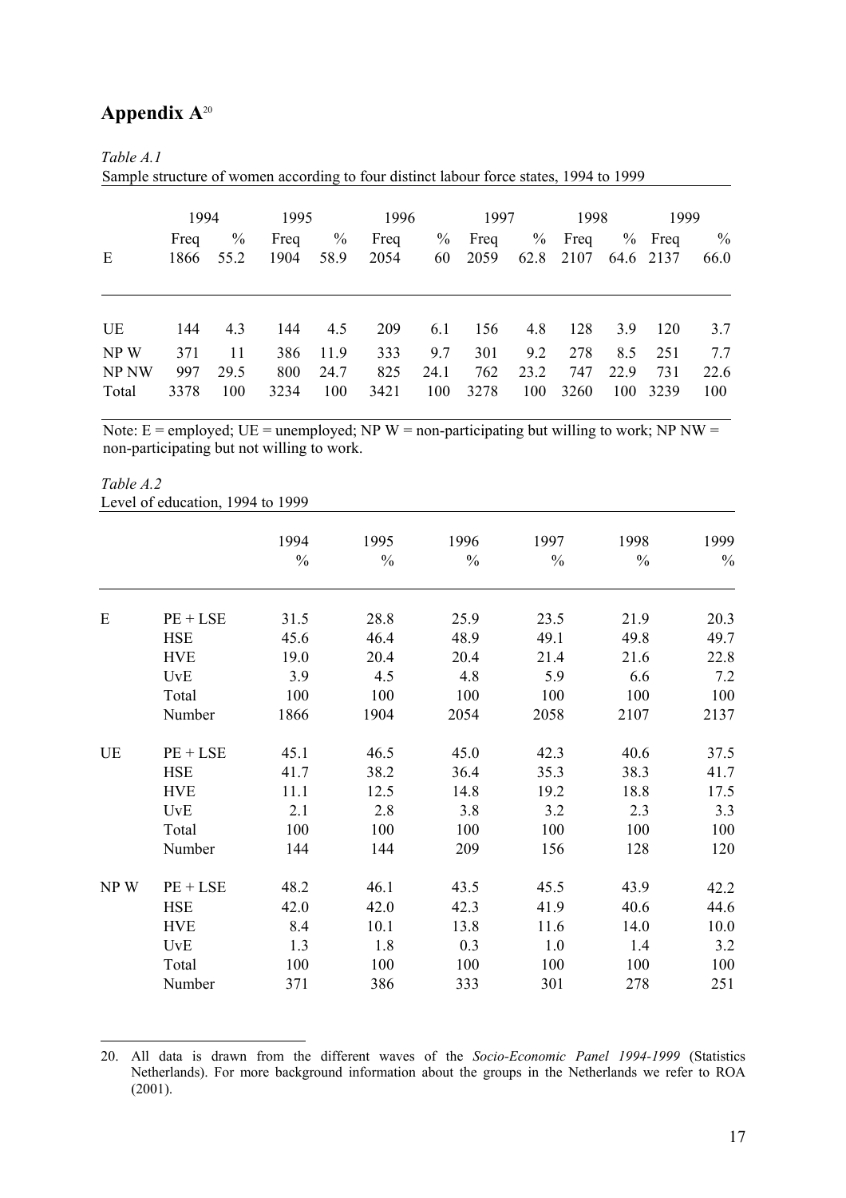## **Appendix A**<sup>20</sup>

### *Table A.1*

Sample structure of women according to four distinct labour force states, 1994 to 1999

|                        | 1994               |                       | 1995               |                     | 1996               |                    | 1997               |                    | 1998               |             | 1999                   |                    |
|------------------------|--------------------|-----------------------|--------------------|---------------------|--------------------|--------------------|--------------------|--------------------|--------------------|-------------|------------------------|--------------------|
| E                      | Freq<br>1866       | $\frac{0}{0}$<br>55.2 | Freq<br>1904       | $\%$<br>58.9        | Freq<br>2054       | $\%$<br>60         | Freq<br>2059       | $\%$<br>62.8       | Freq<br>2107       |             | $%$ Freq<br>64.6 2137  | $\%$<br>66.0       |
| UE                     | 144                | 4.3                   | 144                | 4.5                 | 209                | 6.1                | 156                | 4.8                | 128                | 3.9         | 120                    | 3.7                |
| NP W<br>NP NW<br>Total | 371<br>997<br>3378 | 11<br>29.5<br>100     | 386<br>800<br>3234 | 11.9<br>24.7<br>100 | 333<br>825<br>3421 | 9.7<br>24.1<br>100 | 301<br>762<br>3278 | 9.2<br>23.2<br>100 | 278<br>747<br>3260 | 8.5<br>22.9 | 251<br>731<br>100 3239 | 7.7<br>22.6<br>100 |

Note:  $E =$  employed;  $UE =$  unemployed; NP W = non-participating but willing to work; NP NW = non-participating but not willing to work.

#### *Table A.2*  Level of education, 1994 to 1999

 $\overline{a}$ 

|     |            | 1994          | 1995          | 1996 | 1997          | 1998          | 1999 |
|-----|------------|---------------|---------------|------|---------------|---------------|------|
|     |            | $\frac{0}{0}$ | $\frac{0}{0}$ | $\%$ | $\frac{0}{0}$ | $\frac{0}{0}$ | $\%$ |
| E   | $PE + LSE$ | 31.5          | 28.8          | 25.9 | 23.5          | 21.9          | 20.3 |
|     | <b>HSE</b> | 45.6          | 46.4          | 48.9 | 49.1          | 49.8          | 49.7 |
|     | <b>HVE</b> | 19.0          | 20.4          | 20.4 | 21.4          | 21.6          | 22.8 |
|     | <b>UvE</b> | 3.9           | 4.5           | 4.8  | 5.9           | 6.6           | 7.2  |
|     | Total      | 100           | 100           | 100  | 100           | 100           | 100  |
|     | Number     | 1866          | 1904          | 2054 | 2058          | 2107          | 2137 |
| UE  | $PE + LSE$ | 45.1          | 46.5          | 45.0 | 42.3          | 40.6          | 37.5 |
|     | <b>HSE</b> | 41.7          | 38.2          | 36.4 | 35.3          | 38.3          | 41.7 |
|     | <b>HVE</b> | 11.1          | 12.5          | 14.8 | 19.2          | 18.8          | 17.5 |
|     | <b>UvE</b> | 2.1           | 2.8           | 3.8  | 3.2           | 2.3           | 3.3  |
|     | Total      | 100           | 100           | 100  | 100           | 100           | 100  |
|     | Number     | 144           | 144           | 209  | 156           | 128           | 120  |
| NPW | $PE + LSE$ | 48.2          | 46.1          | 43.5 | 45.5          | 43.9          | 42.2 |
|     | <b>HSE</b> | 42.0          | 42.0          | 42.3 | 41.9          | 40.6          | 44.6 |
|     | <b>HVE</b> | 8.4           | 10.1          | 13.8 | 11.6          | 14.0          | 10.0 |
|     | <b>UvE</b> | 1.3           | 1.8           | 0.3  | 1.0           | 1.4           | 3.2  |
|     | Total      | 100           | 100           | 100  | 100           | 100           | 100  |
|     | Number     | 371           | 386           | 333  | 301           | 278           | 251  |

20. All data is drawn from the different waves of the *Socio-Economic Panel 1994-1999* (Statistics Netherlands). For more background information about the groups in the Netherlands we refer to ROA (2001).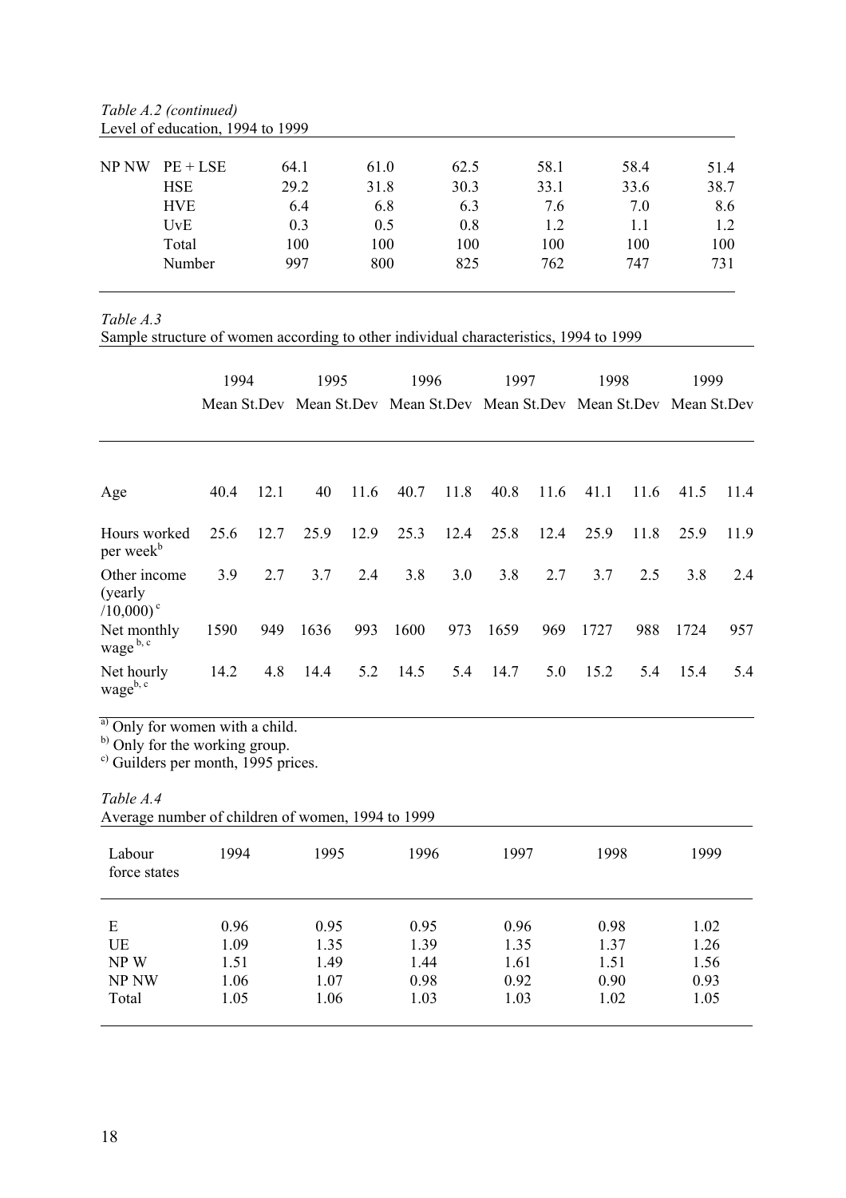| NP NW | $PE + LSE$ | 64.1 | 61.0 | 62.5 | 58.1 | 58.4 | 51.4 |
|-------|------------|------|------|------|------|------|------|
|       | <b>HSE</b> | 29.2 | 31.8 | 30.3 | 33.1 | 33.6 | 38.7 |
|       | <b>HVE</b> | 6.4  | 6.8  | 6.3  | 7.6  | 7.0  | 8.6  |
|       | UvE        | 0.3  | 0.5  | 0.8  | 1.2  |      | 1.2  |
|       | Total      | 100  | 100  | 100  | 100  | 100  | 100  |
|       | Number     | 997  | 800  | 825  | 762  | 747  | 731  |

*Table A.2 (continued)*  Level of education, 1994 to 1999

*Table A.3* 

Sample structure of women according to other individual characteristics, 1994 to 1999

|                                                     | 1994 |      | 1995<br>Mean St.Dev Mean St.Dev Mean St.Dev Mean St.Dev Mean St.Dev Mean St.Dev |      | 1996 |      | 1997 |      | 1998 |      | 1999 |      |
|-----------------------------------------------------|------|------|---------------------------------------------------------------------------------|------|------|------|------|------|------|------|------|------|
| Age                                                 | 40.4 | 12.1 | 40                                                                              | 11.6 | 40.7 | 11.8 | 40.8 | 11.6 | 41.1 | 11.6 | 41.5 | 11.4 |
| Hours worked<br>per week <sup>b</sup>               | 25.6 | 12.7 | 25.9                                                                            | 12.9 | 25.3 | 12.4 | 25.8 | 12.4 | 25.9 | 11.8 | 25.9 | 11.9 |
| Other income<br>(yearly)<br>$(10,000)$ <sup>c</sup> | 3.9  | 2.7  | 3.7                                                                             | 2.4  | 3.8  | 3.0  | 3.8  | 2.7  | 3.7  | 2.5  | 3.8  | 2.4  |
| Net monthly<br>wage <sup>b, c</sup>                 | 1590 | 949  | 1636                                                                            | 993  | 1600 | 973  | 1659 | 969  | 1727 | 988  | 1724 | 957  |
| Net hourly<br>wageb, c                              | 14.2 | 4.8  | 14.4                                                                            | 5.2  | 14.5 | 5.4  | 14.7 | 5.0  | 15.2 | 5.4  | 15.4 | 5.4  |

<sup>a)</sup> Only for women with a child.

<sup>b)</sup> Only for the working group.

c) Guilders per month, 1995 prices.

*Table A.4* 

| Average number of children of women, 1994 to 1999 |  |
|---------------------------------------------------|--|
|---------------------------------------------------|--|

| Labour<br>force states | 1994 | 1995 | 1996 | 1997 | 1998 | 1999 |
|------------------------|------|------|------|------|------|------|
| E                      | 0.96 | 0.95 | 0.95 | 0.96 | 0.98 | 1.02 |
| UE                     | 1.09 | 1.35 | 1.39 | 1.35 | 1.37 | 1.26 |
| NP W                   | 1.51 | 1.49 | 1.44 | 1.61 | 1.51 | 1.56 |
| NP NW                  | 1.06 | 1.07 | 0.98 | 0.92 | 0.90 | 0.93 |
| Total                  | 1.05 | 1.06 | 1.03 | 1.03 | 1.02 | 1.05 |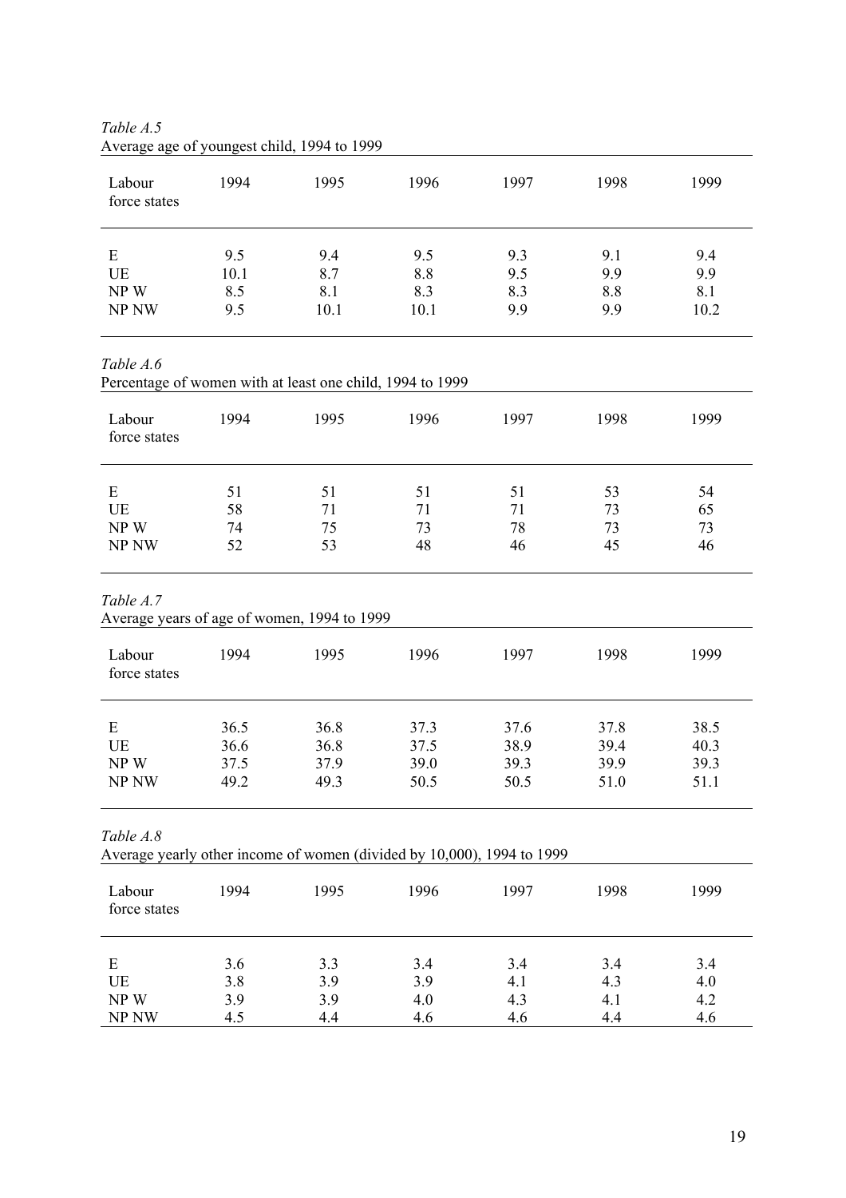| Labour<br>force states | 1994 | 1995 | 1996 | 1997 | 1998 | 1999 |
|------------------------|------|------|------|------|------|------|
| E                      | 9.5  | 9.4  | 9.5  | 9.3  | 9.1  | 9.4  |
| UE                     | 10.1 | 8.7  | 8.8  | 9.5  | 9.9  | 9.9  |
| NPW                    | 8.5  | 8.1  | 8.3  | 8.3  | 8.8  | 8.1  |
| NP NW                  | 9.5  | 10.1 | 10.1 | 9.9  | 9.9  | 10.2 |

*Table A.5*  Average age of youngest child, 1994 to 1999

*Table A.6* 

Percentage of women with at least one child, 1994 to 1999

| Labour<br>force states | 1994 | 1995 | 1996 | 1997 | 1998 | 1999 |
|------------------------|------|------|------|------|------|------|
| E                      | 51   | 51   | 51   | 51   | 53   | 54   |
| UE                     | 58   | 71   | 71   | 71   | 73   | 65   |
| NPW                    | 74   | 75   | 73   | 78   | 73   | 73   |
| NP <sub>NW</sub>       | 52   | 53   | 48   | 46   | 45   | 46   |

*Table A.7* 

Average years of age of women, 1994 to 1999

| Labour<br>force states | 1994 | 1995 | 1996 | 1997 | 1998 | 1999 |
|------------------------|------|------|------|------|------|------|
| E                      | 36.5 | 36.8 | 37.3 | 37.6 | 37.8 | 38.5 |
| UE                     | 36.6 | 36.8 | 37.5 | 38.9 | 39.4 | 40.3 |
| NPW                    | 37.5 | 37.9 | 39.0 | 39.3 | 39.9 | 39.3 |
| NP NW                  | 49.2 | 49.3 | 50.5 | 50.5 | 51.0 | 51.1 |

*Table A.8* 

| Average yearly other income of women (divided by 10,000), 1994 to 1999 |  |  |  |  |  |  |  |  |
|------------------------------------------------------------------------|--|--|--|--|--|--|--|--|
|------------------------------------------------------------------------|--|--|--|--|--|--|--|--|

| Labour<br>force states | 1994 | 1995 | 1996 | 1997 | 1998 | 1999 |
|------------------------|------|------|------|------|------|------|
| E                      | 3.6  | 3.3  | 3.4  | 3.4  | 3.4  | 3.4  |
| UE                     | 3.8  | 3.9  | 3.9  | 4.1  | 4.3  | 4.0  |
| NPW                    | 3.9  | 3.9  | 4.0  | 4.3  | 4.1  | 4.2  |
| NP <sub>NW</sub>       | 4.5  | 4.4  | 4.6  | 4.6  | 4.4  | 4.6  |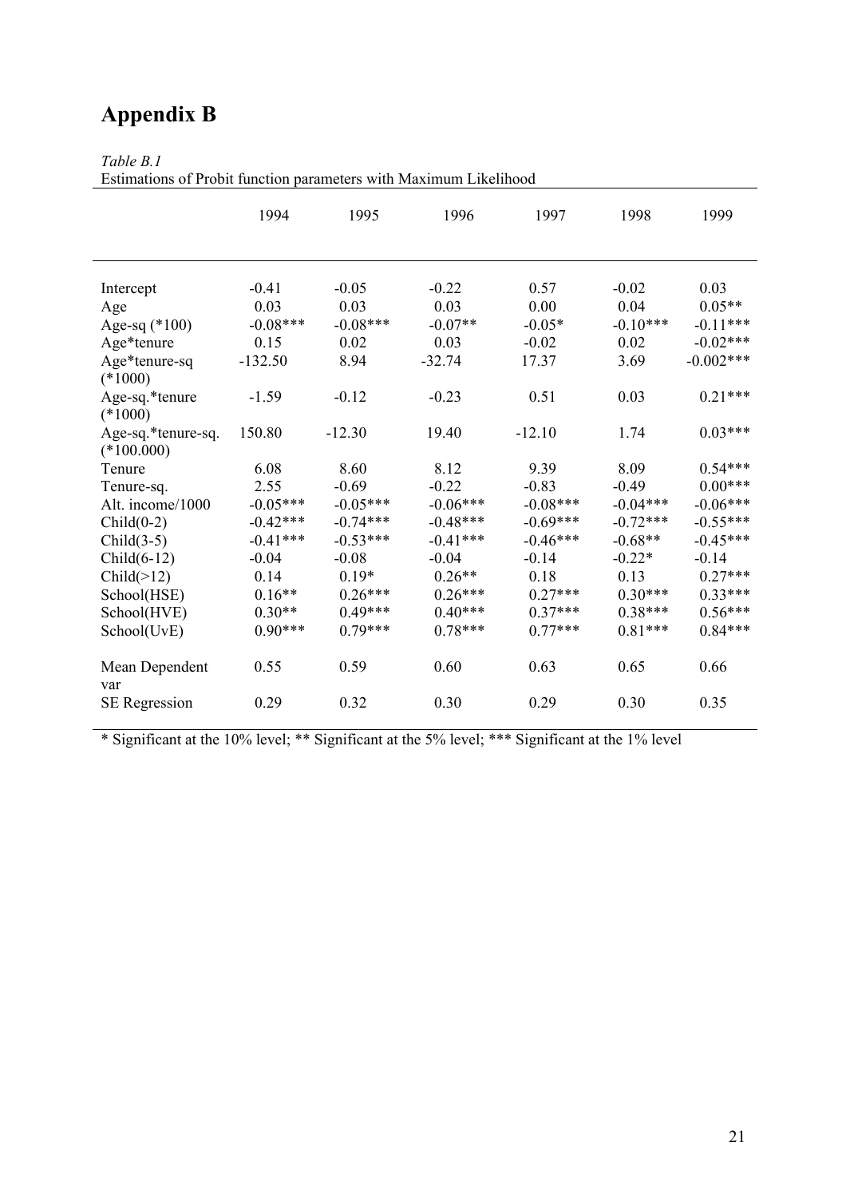# **Appendix B**

## *Table B.1*

Estimations of Probit function parameters with Maximum Likelihood

|                                    | 1994       | 1995       | 1996       | 1997       | 1998       | 1999        |
|------------------------------------|------------|------------|------------|------------|------------|-------------|
| Intercept                          | $-0.41$    | $-0.05$    | $-0.22$    | 0.57       | $-0.02$    | 0.03        |
| Age                                | 0.03       | 0.03       | 0.03       | 0.00       | 0.04       | $0.05**$    |
| Age-sq $(*100)$                    | $-0.08***$ | $-0.08***$ | $-0.07**$  | $-0.05*$   | $-0.10***$ | $-0.11***$  |
| Age*tenure                         | 0.15       | 0.02       | 0.03       | $-0.02$    | 0.02       | $-0.02***$  |
| Age*tenure-sq                      | $-132.50$  | 8.94       | $-32.74$   | 17.37      | 3.69       | $-0.002***$ |
| $(*1000)$                          |            |            |            |            |            |             |
| Age-sq.*tenure<br>$(*1000)$        | $-1.59$    | $-0.12$    | $-0.23$    | 0.51       | 0.03       | $0.21***$   |
| Age-sq.*tenure-sq.<br>$(*100.000)$ | 150.80     | $-12.30$   | 19.40      | $-12.10$   | 1.74       | $0.03***$   |
| Tenure                             | 6.08       | 8.60       | 8.12       | 9.39       | 8.09       | $0.54***$   |
| Tenure-sq.                         | 2.55       | $-0.69$    | $-0.22$    | $-0.83$    | $-0.49$    | $0.00***$   |
| Alt. income/1000                   | $-0.05***$ | $-0.05***$ | $-0.06***$ | $-0.08***$ | $-0.04***$ | $-0.06***$  |
| $Child(0-2)$                       | $-0.42***$ | $-0.74***$ | $-0.48***$ | $-0.69***$ | $-0.72***$ | $-0.55***$  |
| $Child(3-5)$                       | $-0.41***$ | $-0.53***$ | $-0.41***$ | $-0.46***$ | $-0.68**$  | $-0.45***$  |
| $Child(6-12)$                      | $-0.04$    | $-0.08$    | $-0.04$    | $-0.14$    | $-0.22*$   | $-0.14$     |
| Child(>12)                         | 0.14       | $0.19*$    | $0.26**$   | 0.18       | 0.13       | $0.27***$   |
| School(HSE)                        | $0.16**$   | $0.26***$  | $0.26***$  | $0.27***$  | $0.30***$  | $0.33***$   |
| School(HVE)                        | $0.30**$   | $0.49***$  | $0.40***$  | $0.37***$  | $0.38***$  | $0.56***$   |
| School(UvE)                        | $0.90***$  | $0.79***$  | $0.78***$  | $0.77***$  | $0.81***$  | $0.84***$   |
| Mean Dependent<br>var              | 0.55       | 0.59       | 0.60       | 0.63       | 0.65       | 0.66        |
| <b>SE</b> Regression               | 0.29       | 0.32       | 0.30       | 0.29       | 0.30       | 0.35        |

\* Significant at the 10% level; \*\* Significant at the 5% level; \*\*\* Significant at the 1% level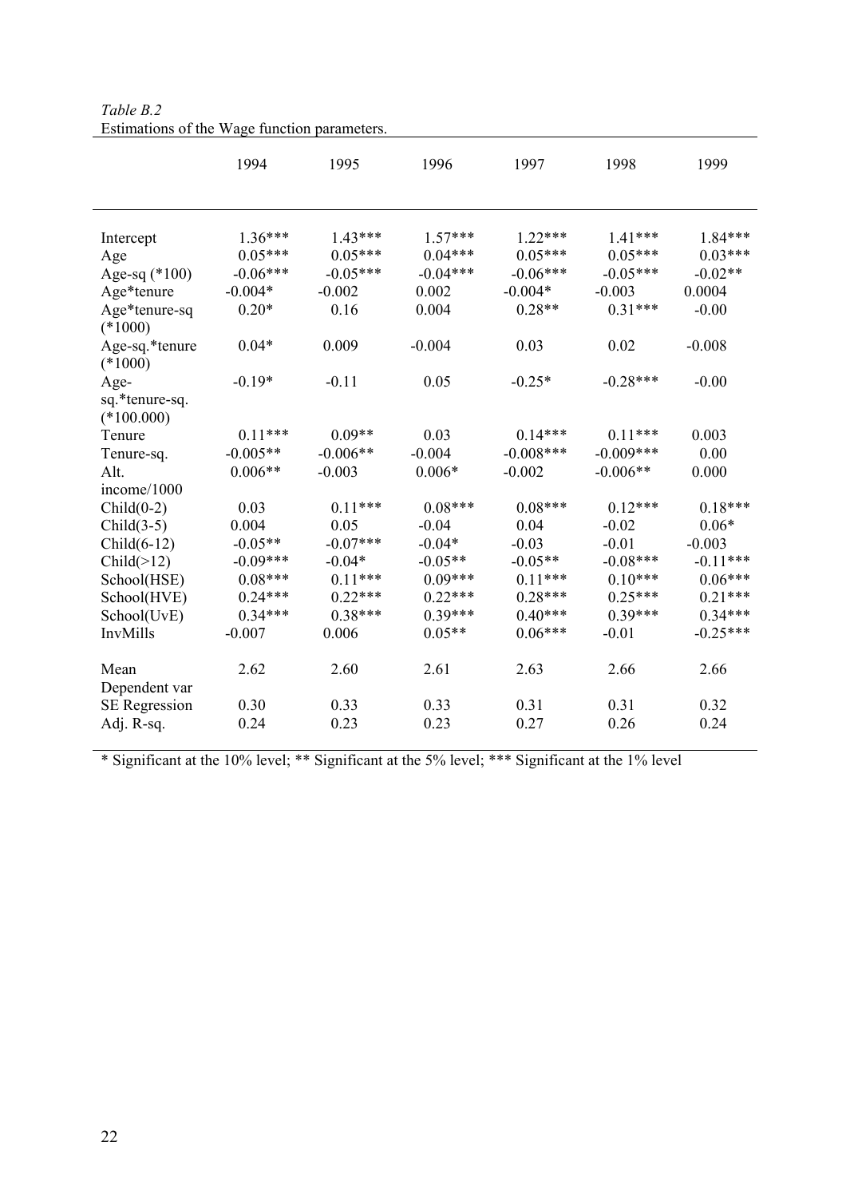|                                | 1994       | 1995       | 1996       | 1997        | 1998        | 1999       |
|--------------------------------|------------|------------|------------|-------------|-------------|------------|
| Intercept                      | $1.36***$  | $1.43***$  | $1.57***$  | $1.22***$   | $1.41***$   | $1.84***$  |
| Age                            | $0.05***$  | $0.05***$  | $0.04***$  | $0.05***$   | $0.05***$   | $0.03***$  |
| Age-sq $(*100)$                | $-0.06***$ | $-0.05***$ | $-0.04***$ | $-0.06***$  | $-0.05***$  | $-0.02**$  |
| Age*tenure                     | $-0.004*$  | $-0.002$   | 0.002      | $-0.004*$   | $-0.003$    | 0.0004     |
| Age*tenure-sq                  | $0.20*$    | 0.16       | 0.004      | $0.28**$    | $0.31***$   | $-0.00$    |
| $(*1000)$                      |            |            |            |             |             |            |
| Age-sq.*tenure<br>$(*1000)$    | $0.04*$    | 0.009      | $-0.004$   | 0.03        | 0.02        | $-0.008$   |
| Age-                           | $-0.19*$   | $-0.11$    | 0.05       | $-0.25*$    | $-0.28***$  | $-0.00$    |
| sq.*tenure-sq.<br>$(*100.000)$ |            |            |            |             |             |            |
| Tenure                         | $0.11***$  | $0.09**$   | 0.03       | $0.14***$   | $0.11***$   | 0.003      |
| Tenure-sq.                     | $-0.005**$ | $-0.006**$ | $-0.004$   | $-0.008***$ | $-0.009***$ | 0.00       |
| Alt.                           | $0.006**$  | $-0.003$   | $0.006*$   | $-0.002$    | $-0.006**$  | 0.000      |
| income/1000                    |            |            |            |             |             |            |
| $Child(0-2)$                   | 0.03       | $0.11***$  | $0.08***$  | $0.08***$   | $0.12***$   | $0.18***$  |
| $Child(3-5)$                   | 0.004      | 0.05       | $-0.04$    | 0.04        | $-0.02$     | $0.06*$    |
| $Child(6-12)$                  | $-0.05**$  | $-0.07***$ | $-0.04*$   | $-0.03$     | $-0.01$     | $-0.003$   |
| Child(>12)                     | $-0.09***$ | $-0.04*$   | $-0.05**$  | $-0.05**$   | $-0.08***$  | $-0.11***$ |
| School(HSE)                    | $0.08***$  | $0.11***$  | $0.09***$  | $0.11***$   | $0.10***$   | $0.06***$  |
| School(HVE)                    | $0.24***$  | $0.22***$  | $0.22***$  | $0.28***$   | $0.25***$   | $0.21***$  |
| School(UvE)                    | $0.34***$  | $0.38***$  | $0.39***$  | $0.40***$   | $0.39***$   | $0.34***$  |
| InvMills                       | $-0.007$   | 0.006      | $0.05**$   | $0.06***$   | $-0.01$     | $-0.25***$ |
| Mean<br>Dependent var          | 2.62       | 2.60       | 2.61       | 2.63        | 2.66        | 2.66       |
| <b>SE</b> Regression           | 0.30       | 0.33       | 0.33       | 0.31        | 0.31        | 0.32       |
| Adj. R-sq.                     | 0.24       | 0.23       | 0.23       | 0.27        | 0.26        | 0.24       |

*Table B.2*  Estimations of the Wage function parameters.

\* Significant at the 10% level; \*\* Significant at the 5% level; \*\*\* Significant at the 1% level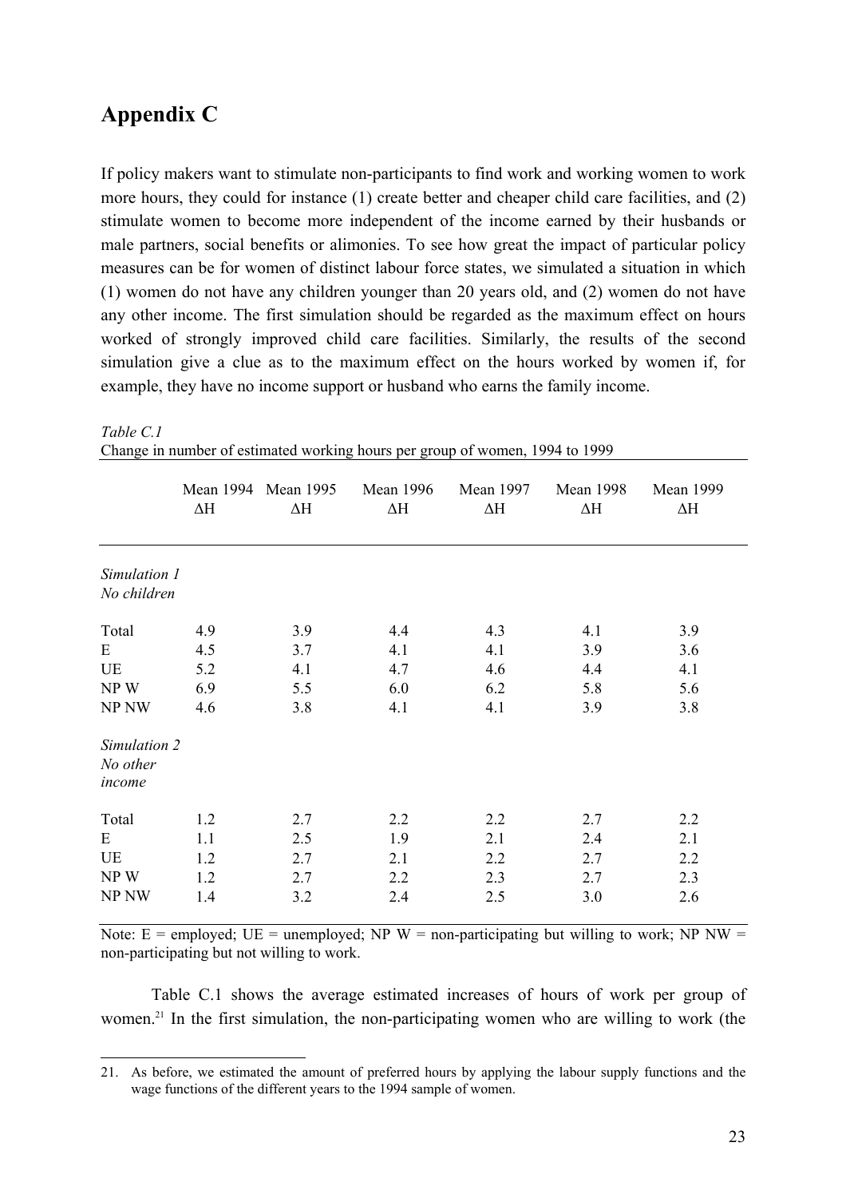## **Appendix C**

 $\overline{a}$ 

If policy makers want to stimulate non-participants to find work and working women to work more hours, they could for instance (1) create better and cheaper child care facilities, and (2) stimulate women to become more independent of the income earned by their husbands or male partners, social benefits or alimonies. To see how great the impact of particular policy measures can be for women of distinct labour force states, we simulated a situation in which (1) women do not have any children younger than 20 years old, and (2) women do not have any other income. The first simulation should be regarded as the maximum effect on hours worked of strongly improved child care facilities. Similarly, the results of the second simulation give a clue as to the maximum effect on the hours worked by women if, for example, they have no income support or husband who earns the family income.

|                                                              | $\Delta \text{H}$               | Mean 1994 Mean 1995<br>$\Delta \text{H}$ | <b>Mean 1996</b><br>$\Delta H$  | <b>Mean 1997</b><br>$\Delta \text{H}$ | <b>Mean 1998</b><br>$\Delta \text{H}$ | <b>Mean 1999</b><br>$\Delta \text{H}$ |
|--------------------------------------------------------------|---------------------------------|------------------------------------------|---------------------------------|---------------------------------------|---------------------------------------|---------------------------------------|
| Simulation 1<br>No children                                  |                                 |                                          |                                 |                                       |                                       |                                       |
| Total<br>E<br>UE<br>NPW<br>NP NW<br>Simulation 2<br>No other | 4.9<br>4.5<br>5.2<br>6.9<br>4.6 | 3.9<br>3.7<br>4.1<br>5.5<br>3.8          | 4.4<br>4.1<br>4.7<br>6.0<br>4.1 | 4.3<br>4.1<br>4.6<br>6.2<br>4.1       | 4.1<br>3.9<br>4.4<br>5.8<br>3.9       | 3.9<br>3.6<br>4.1<br>5.6<br>3.8       |
| income<br>Total<br>E<br>UE<br>NP W<br>NP NW                  | 1.2<br>1.1<br>1.2<br>1.2<br>1.4 | 2.7<br>2.5<br>2.7<br>2.7<br>3.2          | 2.2<br>1.9<br>2.1<br>2.2<br>2.4 | 2.2<br>2.1<br>2.2<br>2.3<br>2.5       | 2.7<br>2.4<br>2.7<br>2.7<br>3.0       | 2.2<br>2.1<br>2.2<br>2.3<br>2.6       |

*Table C.1*  Change in number of estimated working hours per group of women, 1994 to 1999

Note:  $E =$  employed;  $UE =$  unemployed; NP W = non-participating but willing to work; NP NW = non-participating but not willing to work.

 Table C.1 shows the average estimated increases of hours of work per group of women.<sup>21</sup> In the first simulation, the non-participating women who are willing to work (the

<sup>21.</sup> As before, we estimated the amount of preferred hours by applying the labour supply functions and the wage functions of the different years to the 1994 sample of women.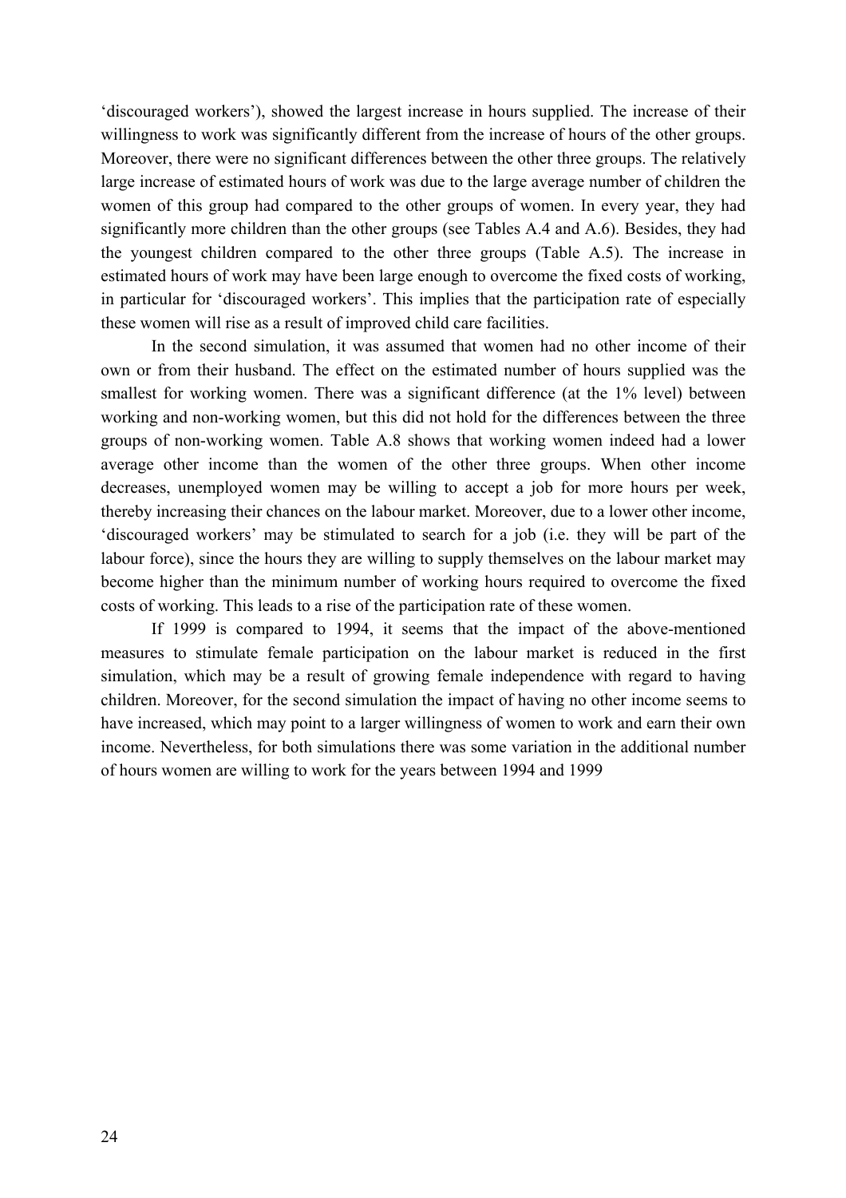'discouraged workers'), showed the largest increase in hours supplied. The increase of their willingness to work was significantly different from the increase of hours of the other groups. Moreover, there were no significant differences between the other three groups. The relatively large increase of estimated hours of work was due to the large average number of children the women of this group had compared to the other groups of women. In every year, they had significantly more children than the other groups (see Tables A.4 and A.6). Besides, they had the youngest children compared to the other three groups (Table A.5). The increase in estimated hours of work may have been large enough to overcome the fixed costs of working, in particular for 'discouraged workers'. This implies that the participation rate of especially these women will rise as a result of improved child care facilities.

 In the second simulation, it was assumed that women had no other income of their own or from their husband. The effect on the estimated number of hours supplied was the smallest for working women. There was a significant difference (at the 1% level) between working and non-working women, but this did not hold for the differences between the three groups of non-working women. Table A.8 shows that working women indeed had a lower average other income than the women of the other three groups. When other income decreases, unemployed women may be willing to accept a job for more hours per week, thereby increasing their chances on the labour market. Moreover, due to a lower other income, 'discouraged workers' may be stimulated to search for a job (i.e. they will be part of the labour force), since the hours they are willing to supply themselves on the labour market may become higher than the minimum number of working hours required to overcome the fixed costs of working. This leads to a rise of the participation rate of these women.

 If 1999 is compared to 1994, it seems that the impact of the above-mentioned measures to stimulate female participation on the labour market is reduced in the first simulation, which may be a result of growing female independence with regard to having children. Moreover, for the second simulation the impact of having no other income seems to have increased, which may point to a larger willingness of women to work and earn their own income. Nevertheless, for both simulations there was some variation in the additional number of hours women are willing to work for the years between 1994 and 1999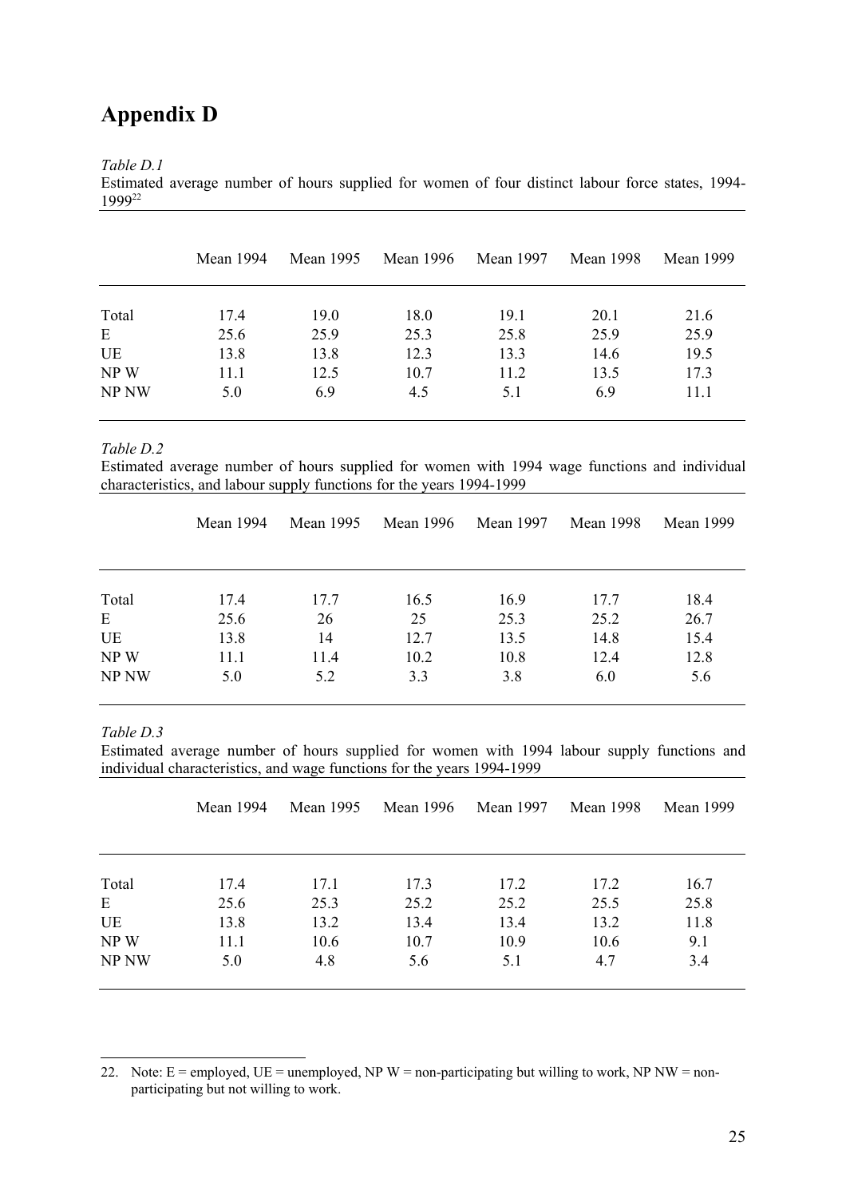# **Appendix D**

*Table D.1* 

Estimated average number of hours supplied for women of four distinct labour force states, 1994- 199922

|       | <b>Mean 1994</b> | Mean 1995 | Mean 1996 | Mean 1997 | <b>Mean 1998</b> | <b>Mean 1999</b> |
|-------|------------------|-----------|-----------|-----------|------------------|------------------|
| Total | 17.4             | 19.0      | 18.0      | 19.1      | 20.1             | 21.6             |
| E     | 25.6             | 25.9      | 25.3      | 25.8      | 25.9             | 25.9             |
| UE    | 13.8             | 13.8      | 12.3      | 13.3      | 14.6             | 19.5             |
| NPW   | 11.1             | 12.5      | 10.7      | 11.2      | 13.5             | 17.3             |
| NP NW | 5.0              | 6.9       | 4.5       | 5.1       | 6.9              | 11.1             |

*Table D.2* 

Estimated average number of hours supplied for women with 1994 wage functions and individual characteristics, and labour supply functions for the years 1994-1999

|       | Mean 1994 | Mean 1995 | Mean 1996 | Mean 1997 | <b>Mean 1998</b> | Mean 1999 |
|-------|-----------|-----------|-----------|-----------|------------------|-----------|
|       |           |           |           |           |                  |           |
| Total | 17.4      | 17.7      | 16.5      | 16.9      | 17.7             | 18.4      |
| E     | 25.6      | 26        | 25        | 25.3      | 25.2             | 26.7      |
| UE    | 13.8      | 14        | 12.7      | 13.5      | 14.8             | 15.4      |
| NPW   | 11.1      | 11.4      | 10.2      | 10.8      | 12.4             | 12.8      |
| NP NW | 5.0       | 5.2       | 3.3       | 3.8       | 6.0              | 5.6       |

*Table D.3* 

 $\overline{a}$ 

Estimated average number of hours supplied for women with 1994 labour supply functions and individual characteristics, and wage functions for the years 1994-1999

|       | Mean 1994 | Mean 1995 | Mean 1996 | <b>Mean 1997</b> | <b>Mean 1998</b> | Mean 1999 |
|-------|-----------|-----------|-----------|------------------|------------------|-----------|
|       |           |           |           |                  |                  |           |
| Total | 17.4      | 17.1      | 17.3      | 17.2             | 17.2             | 16.7      |
| E     | 25.6      | 25.3      | 25.2      | 25.2             | 25.5             | 25.8      |
| UE    | 13.8      | 13.2      | 13.4      | 13.4             | 13.2             | 11.8      |
| NP W  | 11.1      | 10.6      | 10.7      | 10.9             | 10.6             | 9.1       |
| NP NW | 5.0       | 4.8       | 5.6       | 5.1              | 4.7              | 3.4       |
|       |           |           |           |                  |                  |           |

22. Note:  $E =$  employed,  $UE =$  unemployed, NP W = non-participating but willing to work, NP NW = nonparticipating but not willing to work.